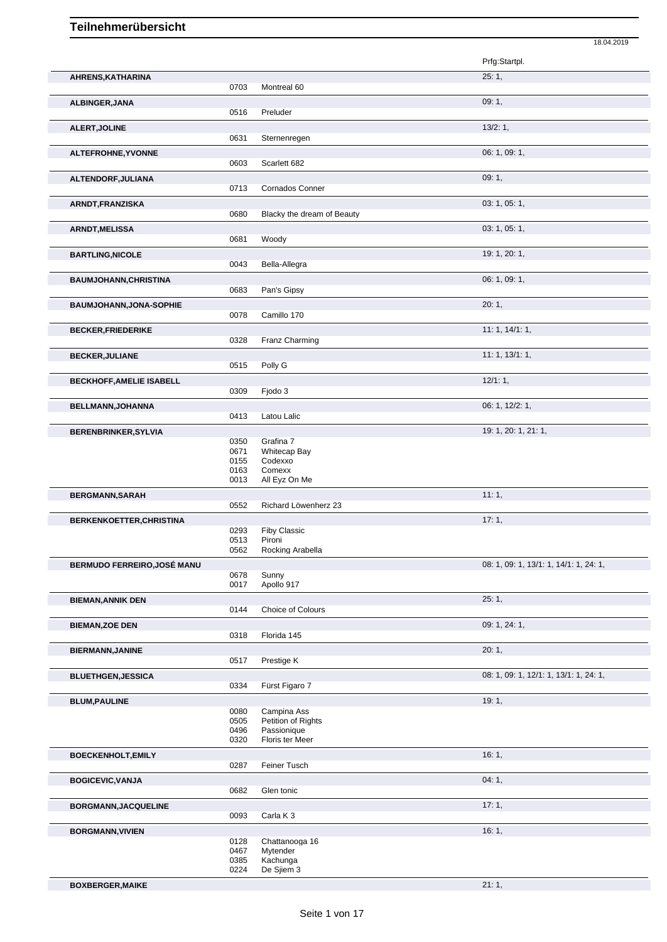|                                 |              |                            | 18.04.2019                             |
|---------------------------------|--------------|----------------------------|----------------------------------------|
|                                 |              |                            | Prfg:Startpl.                          |
| AHRENS, KATHARINA               |              |                            | 25:1,                                  |
|                                 | 0703         | Montreal 60                |                                        |
| ALBINGER, JANA                  | 0516         | Preluder                   | 09:1,                                  |
| ALERT, JOLINE                   |              |                            | 13/2:1,                                |
|                                 | 0631         | Sternenregen               |                                        |
| ALTEFROHNE, YVONNE              |              |                            | 06: 1, 09: 1,                          |
|                                 | 0603         | Scarlett 682               |                                        |
| ALTENDORF, JULIANA              | 0713         | Cornados Conner            | 09:1,                                  |
| ARNDT, FRANZISKA                |              |                            | 03: 1, 05: 1,                          |
|                                 | 0680         | Blacky the dream of Beauty |                                        |
| <b>ARNDT, MELISSA</b>           |              |                            | 03: 1, 05: 1,                          |
|                                 | 0681         | Woody                      |                                        |
| <b>BARTLING, NICOLE</b>         |              |                            | 19: 1, 20: 1,                          |
|                                 | 0043         | Bella-Allegra              |                                        |
| <b>BAUMJOHANN, CHRISTINA</b>    | 0683         | Pan's Gipsy                | 06: 1, 09: 1,                          |
| BAUMJOHANN, JONA-SOPHIE         |              |                            | 20:1,                                  |
|                                 | 0078         | Camillo 170                |                                        |
| <b>BECKER, FRIEDERIKE</b>       |              |                            | 11:1, 14/1:1,                          |
|                                 | 0328         | Franz Charming             |                                        |
| <b>BECKER, JULIANE</b>          |              |                            | 11: 1, 13/1: 1,                        |
|                                 | 0515         | Polly G                    |                                        |
| <b>BECKHOFF, AMELIE ISABELL</b> | 0309         | Fjodo 3                    | 12/1:1,                                |
|                                 |              |                            |                                        |
| BELLMANN, JOHANNA               | 0413         | Latou Lalic                | 06: 1, 12/2: 1,                        |
| <b>BERENBRINKER, SYLVIA</b>     |              |                            | 19: 1, 20: 1, 21: 1,                   |
|                                 | 0350         | Grafina 7                  |                                        |
|                                 | 0671<br>0155 | Whitecap Bay<br>Codexxo    |                                        |
|                                 | 0163         | Comexx                     |                                        |
|                                 | 0013         | All Eyz On Me              |                                        |
| <b>BERGMANN, SARAH</b>          |              |                            | 11:1,                                  |
|                                 | 0552         | Richard Löwenherz 23       |                                        |
| BERKENKOETTER, CHRISTINA        | 0293         | <b>Fiby Classic</b>        | 17:1,                                  |
|                                 | 0513         | Pironi                     |                                        |
|                                 | 0562         | Rocking Arabella           |                                        |
| BERMUDO FERREIRO, JOSÉ MANU     |              |                            | 08: 1, 09: 1, 13/1: 1, 14/1: 1, 24: 1, |
|                                 | 0678<br>0017 | Sunny<br>Apollo 917        |                                        |
| <b>BIEMAN, ANNIK DEN</b>        |              |                            | 25:1,                                  |
|                                 | 0144         | Choice of Colours          |                                        |
| <b>BIEMAN, ZOE DEN</b>          |              |                            | 09: 1, 24: 1,                          |
|                                 | 0318         | Florida 145                |                                        |
| <b>BIERMANN, JANINE</b>         |              |                            | 20:1,                                  |
|                                 | 0517         | Prestige K                 |                                        |
| <b>BLUETHGEN, JESSICA</b>       | 0334         | Fürst Figaro 7             | 08: 1, 09: 1, 12/1: 1, 13/1: 1, 24: 1, |
|                                 |              |                            |                                        |
| <b>BLUM, PAULINE</b>            | 0080         | Campina Ass                | 19:1,                                  |
|                                 | 0505         | Petition of Rights         |                                        |
|                                 | 0496<br>0320 | Passionique                |                                        |
|                                 |              | Floris ter Meer            |                                        |
| <b>BOECKENHOLT, EMILY</b>       | 0287         | Feiner Tusch               | 16:1,                                  |
| <b>BOGICEVIC, VANJA</b>         |              |                            | 04:1,                                  |
|                                 | 0682         | Glen tonic                 |                                        |
| BORGMANN, JACQUELINE            |              |                            | 17:1,                                  |
|                                 | 0093         | Carla K 3                  |                                        |
| <b>BORGMANN, VIVIEN</b>         |              |                            | 16:1,                                  |
|                                 | 0128<br>0467 | Chattanooga 16<br>Mytender |                                        |
|                                 | 0385         | Kachunga                   |                                        |
|                                 | 0224         | De Sjiem 3                 |                                        |
| <b>BOXBERGER, MAIKE</b>         |              |                            | 21:1,                                  |
|                                 |              |                            |                                        |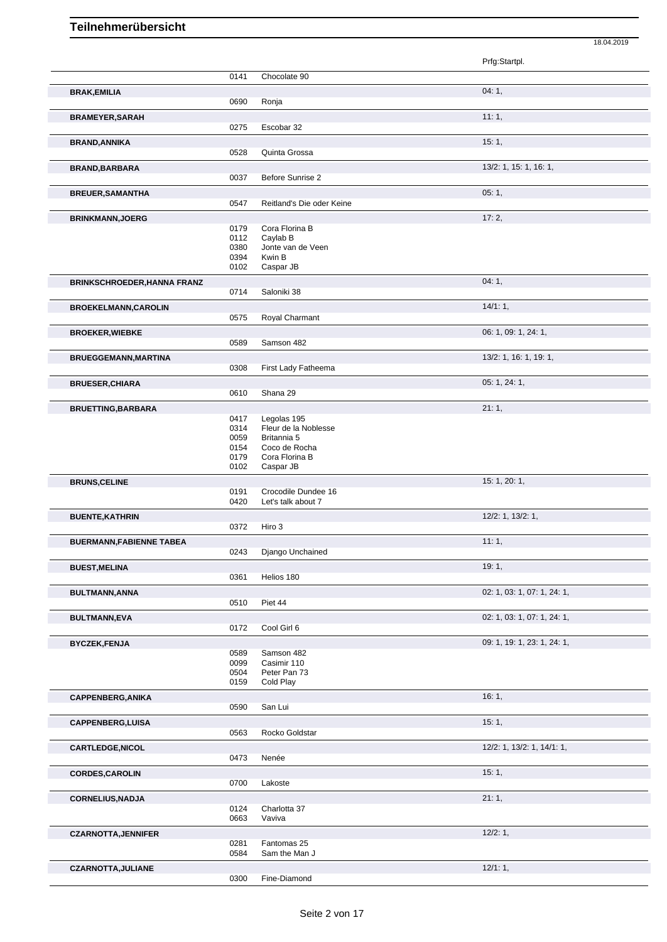|                                    |              |                                           | 18.04.2019                  |
|------------------------------------|--------------|-------------------------------------------|-----------------------------|
|                                    |              |                                           | Prfg:Startpl.               |
|                                    | 0141         | Chocolate 90                              |                             |
| <b>BRAK, EMILIA</b>                | 0690         | Ronja                                     | 04:1,                       |
| <b>BRAMEYER, SARAH</b>             |              |                                           | 11:1,                       |
|                                    | 0275         | Escobar 32                                |                             |
| <b>BRAND, ANNIKA</b>               | 0528         | Quinta Grossa                             | 15:1,                       |
| <b>BRAND, BARBARA</b>              |              |                                           | 13/2: 1, 15: 1, 16: 1,      |
|                                    | 0037         | Before Sunrise 2                          |                             |
| <b>BREUER, SAMANTHA</b>            |              |                                           | 05:1,                       |
|                                    | 0547         | Reitland's Die oder Keine                 |                             |
| <b>BRINKMANN, JOERG</b>            | 0179         | Cora Florina B                            | 17:2,                       |
|                                    | 0112         | Caylab B                                  |                             |
|                                    | 0380         | Jonte van de Veen                         |                             |
|                                    | 0394<br>0102 | Kwin B<br>Caspar JB                       |                             |
| <b>BRINKSCHROEDER, HANNA FRANZ</b> |              |                                           | 04:1,                       |
|                                    | 0714         | Saloniki 38                               |                             |
| <b>BROEKELMANN, CAROLIN</b>        |              |                                           | 14/1:1,                     |
|                                    | 0575         | Royal Charmant                            | 06: 1, 09: 1, 24: 1,        |
| <b>BROEKER, WIEBKE</b>             | 0589         | Samson 482                                |                             |
| <b>BRUEGGEMANN, MARTINA</b>        |              |                                           | 13/2: 1, 16: 1, 19: 1,      |
|                                    | 0308         | First Lady Fatheema                       |                             |
| <b>BRUESER, CHIARA</b>             | 0610         | Shana 29                                  | 05: 1, 24: 1,               |
|                                    |              |                                           | 21:1,                       |
| <b>BRUETTING, BARBARA</b>          | 0417         | Legolas 195                               |                             |
|                                    | 0314         | Fleur de la Noblesse                      |                             |
|                                    | 0059         | Britannia 5                               |                             |
|                                    | 0154<br>0179 | Coco de Rocha<br>Cora Florina B           |                             |
|                                    | 0102         | Caspar JB                                 |                             |
| <b>BRUNS, CELINE</b>               |              |                                           | 15: 1, 20: 1,               |
|                                    | 0191<br>0420 | Crocodile Dundee 16<br>Let's talk about 7 |                             |
| <b>BUENTE, KATHRIN</b>             |              |                                           | 12/2: 1, 13/2: 1,           |
|                                    | 0372         | Hiro 3                                    |                             |
| <b>BUERMANN, FABIENNE TABEA</b>    | 0243         | Django Unchained                          | 11:1,                       |
| <b>BUEST, MELINA</b>               |              |                                           | 19:1,                       |
|                                    | 0361         | Helios 180                                |                             |
| <b>BULTMANN, ANNA</b>              |              |                                           | 02: 1, 03: 1, 07: 1, 24: 1, |
|                                    | 0510         | Piet 44                                   |                             |
| <b>BULTMANN,EVA</b>                | 0172         | Cool Girl 6                               | 02: 1, 03: 1, 07: 1, 24: 1, |
| <b>BYCZEK,FENJA</b>                |              |                                           | 09: 1, 19: 1, 23: 1, 24: 1, |
|                                    | 0589         | Samson 482                                |                             |
|                                    | 0099         | Casimir 110                               |                             |
|                                    | 0504<br>0159 | Peter Pan 73<br>Cold Play                 |                             |
| <b>CAPPENBERG, ANIKA</b>           |              |                                           | 16:1,                       |
|                                    | 0590         | San Lui                                   |                             |
| CAPPENBERG, LUISA                  |              |                                           | 15:1,                       |
|                                    | 0563         | Rocko Goldstar                            |                             |
| <b>CARTLEDGE, NICOL</b>            | 0473         | Nenée                                     | 12/2: 1, 13/2: 1, 14/1: 1,  |
| <b>CORDES, CAROLIN</b>             |              |                                           | 15:1,                       |
|                                    | 0700         | Lakoste                                   |                             |
| <b>CORNELIUS, NADJA</b>            |              |                                           | 21:1,                       |
|                                    | 0124<br>0663 | Charlotta 37<br>Vaviva                    |                             |
| <b>CZARNOTTA, JENNIFER</b>         |              |                                           | 12/2:1,                     |
|                                    | 0281         | Fantomas 25                               |                             |
|                                    | 0584         | Sam the Man J                             |                             |
| <b>CZARNOTTA, JULIANE</b>          | 0300         | Fine-Diamond                              | 12/1:1,                     |
|                                    |              |                                           |                             |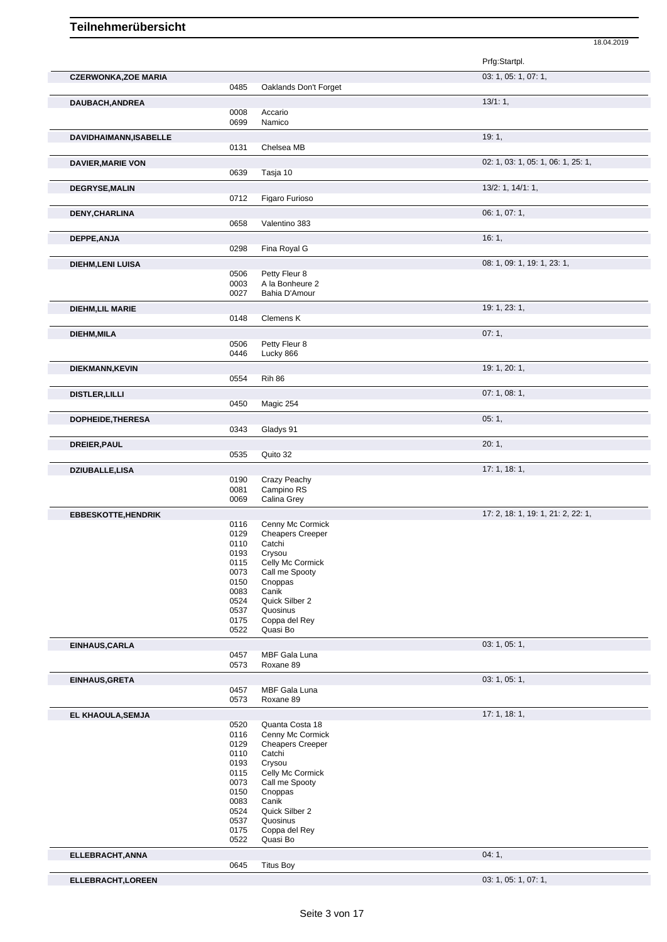|                             |              |                                   | Prfg:Startpl.                      |
|-----------------------------|--------------|-----------------------------------|------------------------------------|
| <b>CZERWONKA, ZOE MARIA</b> |              |                                   | 03: 1, 05: 1, 07: 1,               |
|                             | 0485         | Oaklands Don't Forget             |                                    |
| DAUBACH, ANDREA             |              |                                   | 13/1:1,                            |
|                             | 0008         | Accario                           |                                    |
|                             | 0699         | Namico                            |                                    |
| DAVIDHAIMANN, ISABELLE      |              |                                   | 19:1,                              |
|                             | 0131         | Chelsea MB                        |                                    |
|                             |              |                                   | 02: 1, 03: 1, 05: 1, 06: 1, 25: 1, |
| <b>DAVIER, MARIE VON</b>    | 0639         | Tasja 10                          |                                    |
|                             |              |                                   |                                    |
| <b>DEGRYSE, MALIN</b>       |              |                                   | 13/2: 1, 14/1: 1,                  |
|                             | 0712         | Figaro Furioso                    |                                    |
| DENY, CHARLINA              |              |                                   | 06: 1, 07: 1,                      |
|                             | 0658         | Valentino 383                     |                                    |
| DEPPE, ANJA                 |              |                                   | 16:1,                              |
|                             | 0298         | Fina Royal G                      |                                    |
| <b>DIEHM,LENI LUISA</b>     |              |                                   | 08: 1, 09: 1, 19: 1, 23: 1,        |
|                             | 0506         | Petty Fleur 8                     |                                    |
|                             | 0003         | A la Bonheure 2                   |                                    |
|                             | 0027         | Bahia D'Amour                     |                                    |
| <b>DIEHM, LIL MARIE</b>     |              |                                   | 19: 1, 23: 1,                      |
|                             | 0148         | Clemens K                         |                                    |
| DIEHM, MILA                 |              |                                   | 07:1,                              |
|                             | 0506         | Petty Fleur 8                     |                                    |
|                             | 0446         | Lucky 866                         |                                    |
|                             |              |                                   |                                    |
| DIEKMANN, KEVIN             | 0554         | <b>Rih 86</b>                     | 19: 1, 20: 1,                      |
|                             |              |                                   |                                    |
| <b>DISTLER, LILLI</b>       |              |                                   | 07:1,08:1,                         |
|                             | 0450         | Magic 254                         |                                    |
| DOPHEIDE, THERESA           |              |                                   | 05:1,                              |
|                             | 0343         | Gladys 91                         |                                    |
| DREIER, PAUL                |              |                                   | 20:1,                              |
|                             | 0535         | Quito 32                          |                                    |
| DZIUBALLE,LISA              |              |                                   | 17: 1, 18: 1,                      |
|                             | 0190         | Crazy Peachy                      |                                    |
|                             | 0081         | Campino RS                        |                                    |
|                             | 0069         | Calina Grey                       |                                    |
| <b>EBBESKOTTE, HENDRIK</b>  |              |                                   | 17: 2, 18: 1, 19: 1, 21: 2, 22: 1, |
|                             | 0116         | Cenny Mc Cormick                  |                                    |
|                             | 0129         | <b>Cheapers Creeper</b>           |                                    |
|                             | 0110         | Catchi                            |                                    |
|                             | 0193         | Crysou                            |                                    |
|                             | 0115         | Celly Mc Cormick                  |                                    |
|                             | 0073<br>0150 | Call me Spooty<br>Cnoppas         |                                    |
|                             | 0083         | Canik                             |                                    |
|                             | 0524         | Quick Silber 2                    |                                    |
|                             | 0537         | Quosinus                          |                                    |
|                             | 0175         | Coppa del Rey                     |                                    |
|                             | 0522         | Quasi Bo                          |                                    |
| <b>EINHAUS, CARLA</b>       |              |                                   | 03: 1, 05: 1,                      |
|                             | 0457         | MBF Gala Luna                     |                                    |
|                             | 0573         | Roxane 89                         |                                    |
| <b>EINHAUS, GRETA</b>       |              |                                   | 03: 1, 05: 1,                      |
|                             | 0457         | MBF Gala Luna                     |                                    |
|                             | 0573         | Roxane 89                         |                                    |
| EL KHAOULA, SEMJA           |              |                                   | 17:1, 18:1,                        |
|                             | 0520         | Quanta Costa 18                   |                                    |
|                             | 0116         | Cenny Mc Cormick                  |                                    |
|                             | 0129<br>0110 | <b>Cheapers Creeper</b><br>Catchi |                                    |
|                             | 0193         | Crysou                            |                                    |
|                             | 0115         | Celly Mc Cormick                  |                                    |
|                             | 0073         | Call me Spooty                    |                                    |
|                             | 0150         | Cnoppas                           |                                    |
|                             | 0083         | Canik                             |                                    |
|                             | 0524         | Quick Silber 2                    |                                    |
|                             | 0537<br>0175 | Quosinus<br>Coppa del Rey         |                                    |
|                             | 0522         | Quasi Bo                          |                                    |
|                             |              |                                   |                                    |
| ELLEBRACHT, ANNA            |              |                                   | 04:1,                              |
|                             | 0645         | <b>Titus Boy</b>                  |                                    |
| ELLEBRACHT, LOREEN          |              |                                   | 03: 1, 05: 1, 07: 1,               |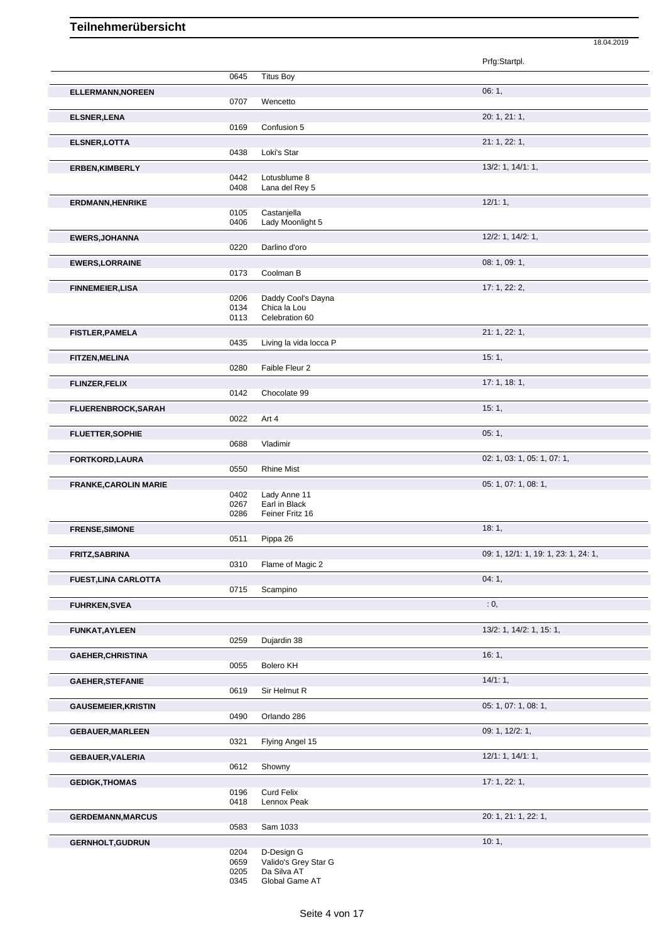|                              |       |                        | 18.04.2019                           |
|------------------------------|-------|------------------------|--------------------------------------|
|                              |       |                        | Prfg:Startpl.                        |
|                              | 0645  | <b>Titus Boy</b>       |                                      |
| <b>ELLERMANN, NOREEN</b>     |       |                        | 06:1,                                |
|                              | 0707  | Wencetto               |                                      |
| <b>ELSNER, LENA</b>          |       |                        | 20: 1, 21: 1,                        |
|                              | 0169  | Confusion 5            |                                      |
| ELSNER, LOTTA                |       |                        | 21: 1, 22: 1,                        |
|                              | 0438  | Loki's Star            |                                      |
| <b>ERBEN, KIMBERLY</b>       |       |                        | 13/2: 1, 14/1: 1,                    |
|                              | 0442  | Lotusblume 8           |                                      |
|                              | 0408  | Lana del Rey 5         |                                      |
| <b>ERDMANN, HENRIKE</b>      |       |                        | 12/1:1,                              |
|                              | 0105  | Castanjella            |                                      |
|                              | 0406  | Lady Moonlight 5       |                                      |
| <b>EWERS, JOHANNA</b>        |       |                        | 12/2: 1, 14/2: 1,                    |
|                              | 0220  | Darlino d'oro          |                                      |
| <b>EWERS, LORRAINE</b>       |       |                        | 08: 1, 09: 1,                        |
|                              | 0173  | Coolman B              |                                      |
|                              |       |                        |                                      |
| <b>FINNEMEIER, LISA</b>      | 0206  | Daddy Cool's Dayna     | 17: 1, 22: 2,                        |
|                              | 0134  | Chica la Lou           |                                      |
|                              | 0113  | Celebration 60         |                                      |
| <b>FISTLER, PAMELA</b>       |       |                        | 21: 1, 22: 1,                        |
|                              | 0435  | Living la vida locca P |                                      |
|                              |       |                        |                                      |
| <b>FITZEN, MELINA</b>        | 0280  | Faible Fleur 2         | 15:1,                                |
|                              |       |                        |                                      |
| <b>FLINZER, FELIX</b>        |       |                        | 17: 1, 18: 1,                        |
|                              | 0142  | Chocolate 99           |                                      |
| <b>FLUERENBROCK, SARAH</b>   |       |                        | 15:1,                                |
|                              | 0022  | Art 4                  |                                      |
| FLUETTER, SOPHIE             |       |                        | 05:1,                                |
|                              | 0688  | Vladimir               |                                      |
| FORTKORD, LAURA              |       |                        | 02: 1, 03: 1, 05: 1, 07: 1,          |
|                              | 0550  | <b>Rhine Mist</b>      |                                      |
|                              |       |                        | 05: 1, 07: 1, 08: 1,                 |
| <b>FRANKE, CAROLIN MARIE</b> | 0402  | Lady Anne 11           |                                      |
|                              | 0267  | Earl in Black          |                                      |
|                              | 0286  | Feiner Fritz 16        |                                      |
| <b>FRENSE, SIMONE</b>        |       |                        | 18:1,                                |
|                              | 0511  | Pippa 26               |                                      |
| FRITZ, SABRINA               |       |                        | 09: 1, 12/1: 1, 19: 1, 23: 1, 24: 1, |
|                              | 0310  | Flame of Magic 2       |                                      |
|                              |       |                        | 04:1,                                |
| <b>FUEST, LINA CARLOTTA</b>  | 0715  | Scampino               |                                      |
|                              |       |                        |                                      |
| <b>FUHRKEN, SVEA</b>         |       |                        | : 0,                                 |
|                              |       |                        |                                      |
| <b>FUNKAT, AYLEEN</b>        |       |                        | 13/2: 1, 14/2: 1, 15: 1,             |
|                              | 0259  | Dujardin 38            |                                      |
| <b>GAEHER, CHRISTINA</b>     |       |                        | 16:1,                                |
|                              | 0055  | Bolero KH              |                                      |
| <b>GAEHER, STEFANIE</b>      |       |                        | 14/1:1,                              |
|                              | 0619  | Sir Helmut R           |                                      |
| <b>GAUSEMEIER, KRISTIN</b>   |       |                        | 05: 1, 07: 1, 08: 1,                 |
|                              | 0490  | Orlando 286            |                                      |
|                              |       |                        |                                      |
| <b>GEBAUER, MARLEEN</b>      | 0321  | Flying Angel 15        | 09: 1, 12/2: 1,                      |
|                              |       |                        |                                      |
| <b>GEBAUER, VALERIA</b>      | 0.012 | Choum                  | 12/1: 1, 14/1: 1,                    |
|                              |       |                        |                                      |

0612 Showny **GEDIGK,THOMAS** 17: 1, 22: 1, 0196 Curd Felix 0418 Lennox Peak **GERDEMANN, MARCUS** 20: 1, 21: 1, 22: 1, 22: 1, 20: 1, 21: 1, 22: 1, 20: 1, 21: 1, 22: 1, Sam 1033 GERNHOLT,GUDRUN 10: 1,<br>
10: 1,<br>
10: 1,<br>
0659 Valido's Grey Star G 0204 D-Design G 0659 Valido's Grey Star G 0205 Da Silva AT

0345 Global Game AT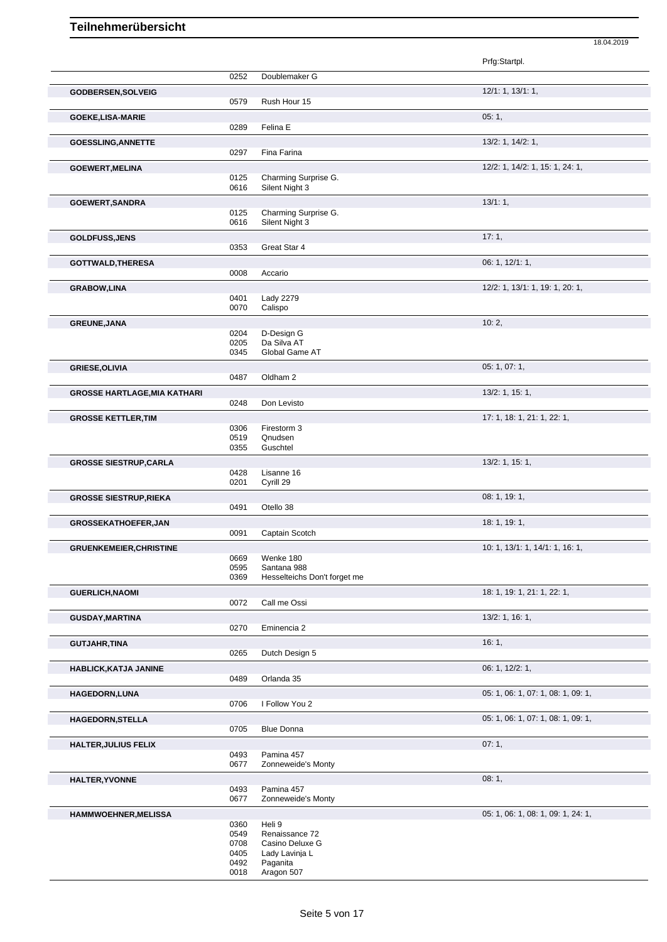|                                     |              |                                        | Prfg:Startpl.                      |
|-------------------------------------|--------------|----------------------------------------|------------------------------------|
|                                     | 0252         | Doublemaker G                          |                                    |
| <b>GODBERSEN, SOLVEIG</b>           |              |                                        | 12/1: 1, 13/1: 1,                  |
|                                     | 0579         | Rush Hour 15                           |                                    |
| <b>GOEKE,LISA-MARIE</b>             | 0289         | Felina E                               | 05:1,                              |
| <b>GOESSLING, ANNETTE</b>           |              |                                        | 13/2: 1, 14/2: 1,                  |
|                                     | 0297         | Fina Farina                            |                                    |
| <b>GOEWERT, MELINA</b>              |              |                                        | 12/2: 1, 14/2: 1, 15: 1, 24: 1,    |
|                                     | 0125<br>0616 | Charming Surprise G.<br>Silent Night 3 |                                    |
| <b>GOEWERT, SANDRA</b>              |              |                                        | 13/1:1,                            |
|                                     | 0125         | Charming Surprise G.                   |                                    |
|                                     | 0616         | Silent Night 3                         |                                    |
| <b>GOLDFUSS, JENS</b>               |              |                                        | 17:1,                              |
|                                     | 0353         | Great Star 4                           |                                    |
| GOTTWALD, THERESA                   | 0008         | Accario                                | 06: 1, 12/1: 1,                    |
| <b>GRABOW,LINA</b>                  |              |                                        | 12/2: 1, 13/1: 1, 19: 1, 20: 1,    |
|                                     | 0401         | Lady 2279                              |                                    |
|                                     | 0070         | Calispo                                |                                    |
| <b>GREUNE, JANA</b>                 |              |                                        | 10:2,                              |
|                                     | 0204<br>0205 | D-Design G<br>Da Silva AT              |                                    |
|                                     | 0345         | Global Game AT                         |                                    |
| <b>GRIESE, OLIVIA</b>               |              |                                        | 05: 1, 07: 1,                      |
|                                     | 0487         | Oldham 2                               |                                    |
| <b>GROSSE HARTLAGE, MIA KATHARI</b> | 0248         |                                        | 13/2: 1, 15: 1,                    |
|                                     |              | Don Levisto                            |                                    |
| <b>GROSSE KETTLER, TIM</b>          | 0306         | Firestorm 3                            | 17: 1, 18: 1, 21: 1, 22: 1,        |
|                                     | 0519         | Qnudsen                                |                                    |
|                                     | 0355         | Guschtel                               |                                    |
| <b>GROSSE SIESTRUP, CARLA</b>       | 0428         | Lisanne 16                             | 13/2: 1, 15: 1,                    |
|                                     | 0201         | Cyrill 29                              |                                    |
| <b>GROSSE SIESTRUP, RIEKA</b>       |              |                                        | 08: 1, 19: 1,                      |
|                                     | 0491         | Otello 38                              |                                    |
| <b>GROSSEKATHOEFER, JAN</b>         |              |                                        | 18: 1, 19: 1,                      |
|                                     | 0091         | Captain Scotch                         |                                    |
| <b>GRUENKEMEIER, CHRISTINE</b>      | 0669         | Wenke 180                              | 10: 1, 13/1: 1, 14/1: 1, 16: 1,    |
|                                     | 0595         | Santana 988                            |                                    |
|                                     | 0369         | Hesselteichs Don't forget me           |                                    |
| <b>GUERLICH, NAOMI</b>              |              |                                        | 18: 1, 19: 1, 21: 1, 22: 1,        |
|                                     | 0072         | Call me Ossi                           |                                    |
| <b>GUSDAY, MARTINA</b>              | 0270         | Eminencia 2                            | 13/2: 1, 16: 1,                    |
| <b>GUTJAHR, TINA</b>                |              |                                        | 16:1,                              |
|                                     | 0265         | Dutch Design 5                         |                                    |
| <b>HABLICK, KATJA JANINE</b>        |              |                                        | 06: 1, 12/2: 1,                    |
|                                     | 0489         | Orlanda 35                             |                                    |
| <b>HAGEDORN,LUNA</b>                |              |                                        | 05: 1, 06: 1, 07: 1, 08: 1, 09: 1, |
|                                     | 0706         | I Follow You 2                         |                                    |
| <b>HAGEDORN, STELLA</b>             | 0705         | <b>Blue Donna</b>                      | 05: 1, 06: 1, 07: 1, 08: 1, 09: 1, |
| <b>HALTER, JULIUS FELIX</b>         |              |                                        | 07:1,                              |
|                                     | 0493         | Pamina 457                             |                                    |
|                                     | 0677         | Zonneweide's Monty                     |                                    |
| <b>HALTER, YVONNE</b>               |              |                                        | 08:1,                              |
|                                     | 0493<br>0677 | Pamina 457<br>Zonneweide's Monty       |                                    |
| <b>HAMMWOEHNER, MELISSA</b>         |              |                                        | 05: 1, 06: 1, 08: 1, 09: 1, 24: 1, |
|                                     | 0360         | Heli 9                                 |                                    |
|                                     | 0549<br>0708 | Renaissance 72<br>Casino Deluxe G      |                                    |
|                                     | 0405         | Lady Lavinja L                         |                                    |
|                                     | 0492         | Paganita                               |                                    |
|                                     | 0018         | Aragon 507                             |                                    |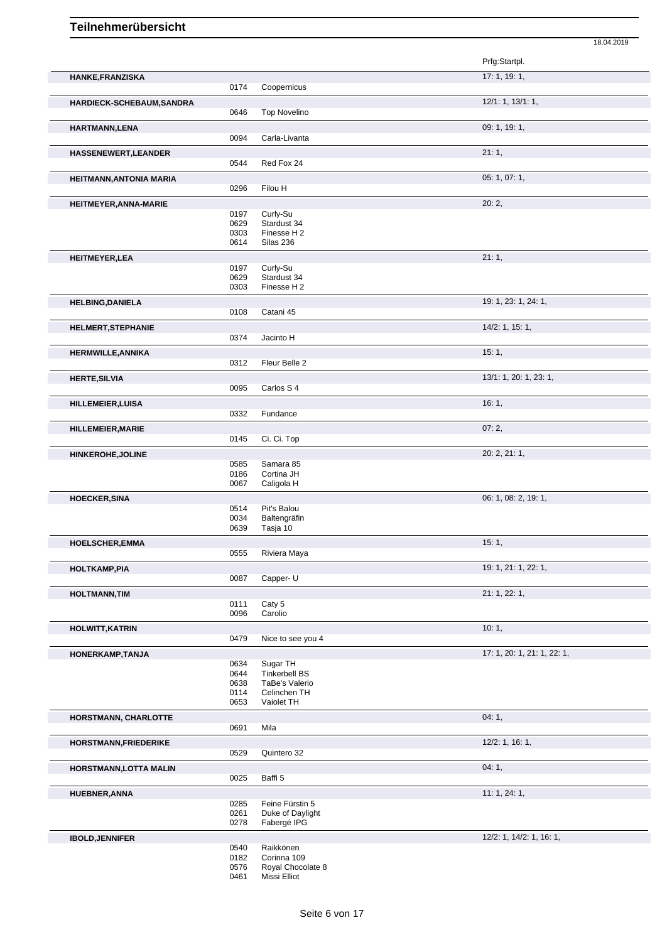|                                |              |                                  | 18.04.2019                  |
|--------------------------------|--------------|----------------------------------|-----------------------------|
|                                |              |                                  | Prfg:Startpl.               |
| HANKE, FRANZISKA               |              |                                  | 17:1, 19:1,                 |
|                                | 0174         | Coopernicus                      |                             |
| HARDIECK-SCHEBAUM, SANDRA      |              |                                  | 12/1: 1, 13/1: 1,           |
|                                | 0646         | <b>Top Novelino</b>              |                             |
| HARTMANN, LENA                 |              |                                  | 09: 1, 19: 1,               |
|                                | 0094         | Carla-Livanta                    |                             |
| HASSENEWERT, LEANDER           |              |                                  | 21:1,                       |
|                                | 0544         | Red Fox 24                       |                             |
| <b>HEITMANN, ANTONIA MARIA</b> |              |                                  | 05: 1, 07: 1,               |
|                                | 0296         | Filou H                          |                             |
| HEITMEYER, ANNA-MARIE          |              |                                  | 20:2,                       |
|                                | 0197         | Curly-Su                         |                             |
|                                | 0629         | Stardust 34                      |                             |
|                                | 0303         | Finesse H 2                      |                             |
|                                | 0614         | Silas 236                        |                             |
| <b>HEITMEYER, LEA</b>          |              |                                  | 21:1,                       |
|                                | 0197         | Curly-Su                         |                             |
|                                | 0629<br>0303 | Stardust 34<br>Finesse H 2       |                             |
|                                |              |                                  |                             |
| <b>HELBING, DANIELA</b>        |              |                                  | 19: 1, 23: 1, 24: 1,        |
|                                | 0108         | Catani 45                        |                             |
| <b>HELMERT, STEPHANIE</b>      |              |                                  | 14/2: 1, 15: 1,             |
|                                | 0374         | Jacinto H                        |                             |
| <b>HERMWILLE, ANNIKA</b>       |              |                                  | 15:1,                       |
|                                | 0312         | Fleur Belle 2                    |                             |
| <b>HERTE, SILVIA</b>           |              |                                  | 13/1: 1, 20: 1, 23: 1,      |
|                                | 0095         | Carlos S 4                       |                             |
|                                |              |                                  | 16:1,                       |
| <b>HILLEMEIER, LUISA</b>       | 0332         | Fundance                         |                             |
|                                |              |                                  |                             |
| <b>HILLEMEIER, MARIE</b>       |              |                                  | 07:2,                       |
|                                | 0145         | Ci. Ci. Top                      |                             |
| <b>HINKEROHE, JOLINE</b>       |              |                                  | 20: 2, 21: 1,               |
|                                | 0585         | Samara 85                        |                             |
|                                | 0186<br>0067 | Cortina JH<br>Caligola H         |                             |
| <b>HOECKER, SINA</b>           |              |                                  | 06: 1, 08: 2, 19: 1,        |
|                                | 0514         | Pit's Balou                      |                             |
|                                | 0034         | Baltengräfin                     |                             |
|                                | 0639         | Tasja 10                         |                             |
| <b>HOELSCHER, EMMA</b>         |              |                                  | 15:1,                       |
|                                | 0555         | Riviera Maya                     |                             |
| <b>HOLTKAMP,PIA</b>            |              |                                  | 19: 1, 21: 1, 22: 1,        |
|                                | 0087         | Capper- U                        |                             |
|                                |              |                                  |                             |
| <b>HOLTMANN, TIM</b>           |              | Caty 5                           | 21: 1, 22: 1,               |
|                                | 0111<br>0096 | Carolio                          |                             |
|                                |              |                                  |                             |
| <b>HOLWITT, KATRIN</b>         | 0479         | Nice to see you 4                | 10:1,                       |
|                                |              |                                  |                             |
| HONERKAMP, TANJA               |              |                                  | 17: 1, 20: 1, 21: 1, 22: 1, |
|                                | 0634<br>0644 | Sugar TH<br><b>Tinkerbell BS</b> |                             |
|                                | 0638         | TaBe's Valerio                   |                             |
|                                | 0114         | Celinchen TH                     |                             |
|                                | 0653         | Vaiolet TH                       |                             |
| HORSTMANN, CHARLOTTE           |              |                                  | 04:1,                       |
|                                | 0691         | Mila                             |                             |
|                                |              |                                  | 12/2: 1, 16: 1,             |
| <b>HORSTMANN, FRIEDERIKE</b>   | 0529         | Quintero 32                      |                             |
|                                |              |                                  |                             |
| HORSTMANN, LOTTA MALIN         |              |                                  | 04:1,                       |
|                                | 0025         | Baffi 5                          |                             |
| <b>HUEBNER, ANNA</b>           |              |                                  | 11: 1, 24: 1,               |
|                                | 0285         | Feine Fürstin 5                  |                             |
|                                | 0261<br>0278 | Duke of Daylight<br>Fabergé IPG  |                             |
|                                |              |                                  |                             |
| <b>IBOLD, JENNIFER</b>         |              | Raikkönen                        | 12/2: 1, 14/2: 1, 16: 1,    |
|                                | 0540<br>0182 | Corinna 109                      |                             |
|                                | 0576         | Royal Chocolate 8                |                             |
|                                | 0461         | Missi Elliot                     |                             |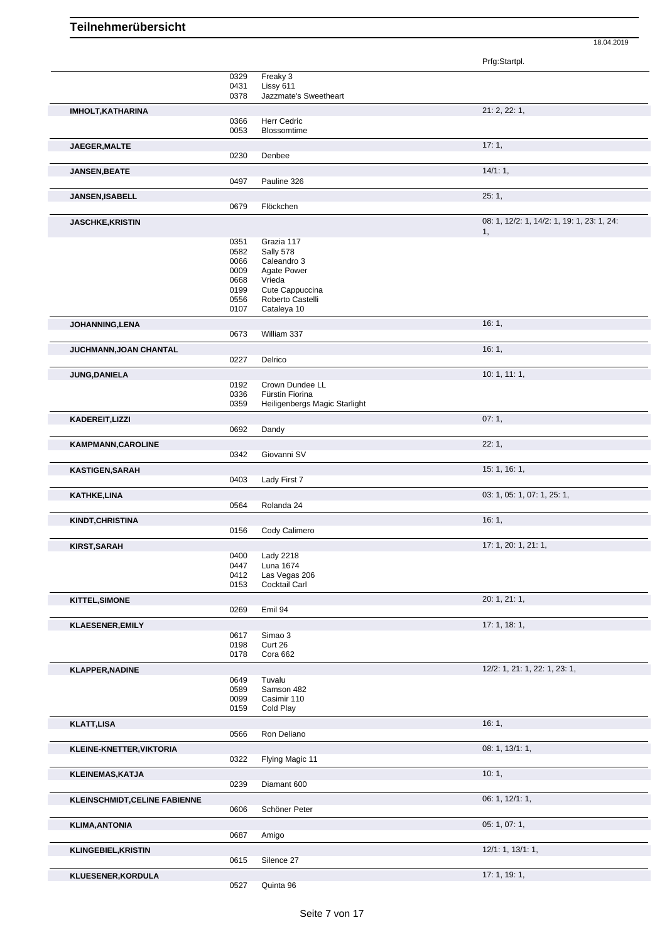|                                                                                                                                                                  |              |                               | Prfg:Startpl.                              |
|------------------------------------------------------------------------------------------------------------------------------------------------------------------|--------------|-------------------------------|--------------------------------------------|
|                                                                                                                                                                  | 0329         | Freaky 3                      |                                            |
|                                                                                                                                                                  | 0431         | Lissy 611                     |                                            |
|                                                                                                                                                                  | 0378         | Jazzmate's Sweetheart         |                                            |
|                                                                                                                                                                  |              |                               |                                            |
| <b>IMHOLT, KATHARINA</b>                                                                                                                                         |              |                               | 21: 2, 22: 1,                              |
|                                                                                                                                                                  | 0366         | Herr Cedric                   |                                            |
|                                                                                                                                                                  | 0053         | <b>Blossomtime</b>            |                                            |
| JAEGER, MALTE                                                                                                                                                    |              |                               | 17:1,                                      |
|                                                                                                                                                                  | 0230         | Denbee                        |                                            |
|                                                                                                                                                                  |              |                               |                                            |
| <b>JANSEN, BEATE</b>                                                                                                                                             |              |                               | 14/1:1,                                    |
|                                                                                                                                                                  | 0497         | Pauline 326                   |                                            |
| <b>JANSEN, ISABELL</b>                                                                                                                                           |              |                               | 25:1,                                      |
|                                                                                                                                                                  | 0679         | Flöckchen                     |                                            |
|                                                                                                                                                                  |              |                               |                                            |
| <b>JASCHKE, KRISTIN</b>                                                                                                                                          |              |                               | 08: 1, 12/2: 1, 14/2: 1, 19: 1, 23: 1, 24: |
|                                                                                                                                                                  |              |                               | 1,                                         |
|                                                                                                                                                                  | 0351         | Grazia 117                    |                                            |
|                                                                                                                                                                  | 0582<br>0066 | Sally 578<br>Caleandro 3      |                                            |
|                                                                                                                                                                  |              |                               |                                            |
|                                                                                                                                                                  | 0009         | Agate Power                   |                                            |
|                                                                                                                                                                  | 0668         | Vrieda                        |                                            |
|                                                                                                                                                                  | 0199         | Cute Cappuccina               |                                            |
|                                                                                                                                                                  | 0556         | Roberto Castelli              |                                            |
|                                                                                                                                                                  | 0107         | Cataleya 10                   |                                            |
| JOHANNING, LENA                                                                                                                                                  |              |                               | 16:1,                                      |
|                                                                                                                                                                  | 0673         | William 337                   |                                            |
|                                                                                                                                                                  |              |                               |                                            |
| JUCHMANN, JOAN CHANTAL                                                                                                                                           |              |                               | 16:1,                                      |
|                                                                                                                                                                  | 0227         | Delrico                       |                                            |
| <b>JUNG, DANIELA</b>                                                                                                                                             |              |                               | 10: 1, 11: 1,                              |
|                                                                                                                                                                  | 0192         | Crown Dundee LL               |                                            |
|                                                                                                                                                                  | 0336         | Fürstin Fiorina               |                                            |
|                                                                                                                                                                  | 0359         | Heiligenbergs Magic Starlight |                                            |
|                                                                                                                                                                  |              |                               |                                            |
| KADEREIT, LIZZI                                                                                                                                                  |              |                               | 07:1,                                      |
|                                                                                                                                                                  | 0692         | Dandy                         |                                            |
| KAMPMANN, CAROLINE                                                                                                                                               |              |                               | 22:1,                                      |
|                                                                                                                                                                  | 0342         | Giovanni SV                   |                                            |
|                                                                                                                                                                  |              |                               |                                            |
| <b>KASTIGEN, SARAH</b>                                                                                                                                           |              |                               | 15: 1, 16: 1,                              |
|                                                                                                                                                                  | 0403         | Lady First 7                  |                                            |
|                                                                                                                                                                  |              |                               | 03: 1, 05: 1, 07: 1, 25: 1,                |
| <b>KATHKE,LINA</b>                                                                                                                                               | 0564         | Rolanda 24                    |                                            |
|                                                                                                                                                                  |              |                               |                                            |
| <b>KINDT, CHRISTINA</b>                                                                                                                                          |              |                               | 16:1,                                      |
|                                                                                                                                                                  | 0156         | Cody Calimero                 |                                            |
| <b>KIRST, SARAH</b>                                                                                                                                              |              |                               | 17: 1, 20: 1, 21: 1,                       |
|                                                                                                                                                                  | 0400         | Lady 2218                     |                                            |
|                                                                                                                                                                  | 0447         | Luna 1674                     |                                            |
|                                                                                                                                                                  | 0412         | Las Vegas 206                 |                                            |
|                                                                                                                                                                  | 0153         | Cocktail Carl                 |                                            |
|                                                                                                                                                                  |              |                               |                                            |
| <b>KITTEL, SIMONE</b>                                                                                                                                            |              |                               | 20: 1, 21: 1,                              |
|                                                                                                                                                                  | 0269         | Emil 94                       |                                            |
| <b>KLAESENER, EMILY</b>                                                                                                                                          |              |                               | 17:1, 18:1,                                |
|                                                                                                                                                                  | 0617         | Simao 3                       |                                            |
|                                                                                                                                                                  | 0198         | Curt 26                       |                                            |
|                                                                                                                                                                  | 0178         | Cora 662                      |                                            |
|                                                                                                                                                                  |              |                               |                                            |
| <b>KLAPPER, NADINE</b>                                                                                                                                           |              |                               | 12/2: 1, 21: 1, 22: 1, 23: 1,              |
|                                                                                                                                                                  | 0649         | Tuvalu                        |                                            |
|                                                                                                                                                                  |              | Samson 482                    |                                            |
|                                                                                                                                                                  | 0589         |                               |                                            |
|                                                                                                                                                                  | 0099         | Casimir 110                   |                                            |
|                                                                                                                                                                  | 0159         | Cold Play                     |                                            |
|                                                                                                                                                                  |              |                               |                                            |
|                                                                                                                                                                  |              |                               | 16:1,                                      |
|                                                                                                                                                                  | 0566         | Ron Deliano                   |                                            |
|                                                                                                                                                                  |              |                               | 08: 1, 13/1: 1,                            |
|                                                                                                                                                                  | 0322         | Flying Magic 11               |                                            |
|                                                                                                                                                                  |              |                               |                                            |
|                                                                                                                                                                  |              |                               | 10:1,                                      |
|                                                                                                                                                                  | 0239         | Diamant 600                   |                                            |
|                                                                                                                                                                  |              |                               | 06: 1, 12/1: 1,                            |
|                                                                                                                                                                  | 0606         | Schöner Peter                 |                                            |
|                                                                                                                                                                  |              |                               |                                            |
|                                                                                                                                                                  |              |                               | 05: 1, 07: 1,                              |
|                                                                                                                                                                  | 0687         | Amigo                         |                                            |
|                                                                                                                                                                  |              |                               | 12/1: 1, 13/1: 1,                          |
|                                                                                                                                                                  |              |                               |                                            |
| <b>KLATT,LISA</b><br>KLEINE-KNETTER, VIKTORIA<br><b>KLEINEMAS, KATJA</b><br><b>KLEINSCHMIDT, CELINE FABIENNE</b><br><b>KLIMA, ANTONIA</b><br>KLINGEBIEL, KRISTIN | 0615         | Silence 27                    |                                            |
| KLUESENER, KORDULA                                                                                                                                               | 0527         | Quinta 96                     | 17:1, 19:1,                                |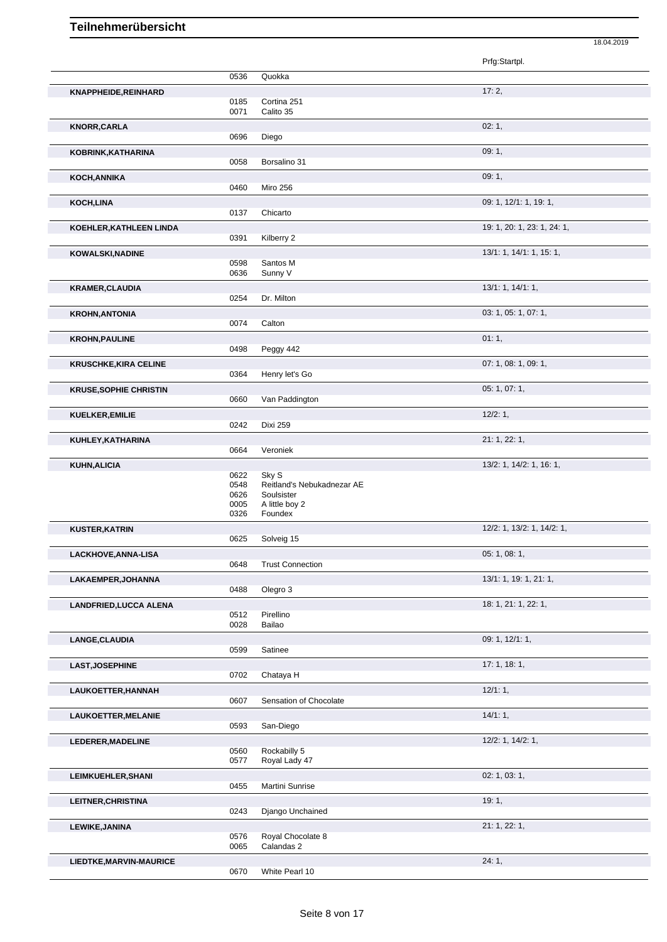|                               |                              |                                                                     | Prfg:Startpl.               |
|-------------------------------|------------------------------|---------------------------------------------------------------------|-----------------------------|
|                               | 0536                         | Quokka                                                              |                             |
| <b>KNAPPHEIDE, REINHARD</b>   |                              |                                                                     | 17:2,                       |
|                               | 0185<br>0071                 | Cortina 251<br>Calito 35                                            |                             |
| <b>KNORR, CARLA</b>           | 0696                         | Diego                                                               | 02:1,                       |
| KOBRINK, KATHARINA            | 0058                         | Borsalino 31                                                        | 09:1,                       |
| <b>KOCH, ANNIKA</b>           | 0460                         | <b>Miro 256</b>                                                     | 09:1,                       |
| KOCH, LINA                    | 0137                         | Chicarto                                                            | 09: 1, 12/1: 1, 19: 1,      |
| KOEHLER, KATHLEEN LINDA       | 0391                         | Kilberry 2                                                          | 19: 1, 20: 1, 23: 1, 24: 1, |
| <b>KOWALSKI, NADINE</b>       | 0598<br>0636                 | Santos M<br>Sunny V                                                 | 13/1: 1, 14/1: 1, 15: 1,    |
| <b>KRAMER, CLAUDIA</b>        | 0254                         | Dr. Milton                                                          | 13/1: 1, 14/1: 1,           |
| <b>KROHN, ANTONIA</b>         | 0074                         | Calton                                                              | 03: 1, 05: 1, 07: 1,        |
| <b>KROHN, PAULINE</b>         | 0498                         | Peggy 442                                                           | 01:1,                       |
| <b>KRUSCHKE, KIRA CELINE</b>  | 0364                         | Henry let's Go                                                      | 07: 1, 08: 1, 09: 1,        |
| <b>KRUSE, SOPHIE CHRISTIN</b> | 0660                         | Van Paddington                                                      | 05: 1, 07: 1,               |
| KUELKER, EMILIE               | 0242                         | Dixi 259                                                            | 12/2:1,                     |
| KUHLEY, KATHARINA             | 0664                         | Veroniek                                                            | 21: 1, 22: 1,               |
|                               |                              |                                                                     |                             |
|                               |                              |                                                                     |                             |
| <b>KUHN, ALICIA</b>           | 0622<br>0548<br>0626<br>0005 | Sky S<br>Reitland's Nebukadnezar AE<br>Soulsister<br>A little boy 2 | 13/2: 1, 14/2: 1, 16: 1,    |
| <b>KUSTER, KATRIN</b>         | 0326                         | Foundex                                                             | 12/2: 1, 13/2: 1, 14/2: 1,  |
| LACKHOVE, ANNA-LISA           | 0625<br>0648                 | Solveig 15<br><b>Trust Connection</b>                               | 05: 1, 08: 1,               |
| LAKAEMPER, JOHANNA            | 0488                         |                                                                     | 13/1: 1, 19: 1, 21: 1,      |
| <b>LANDFRIED,LUCCA ALENA</b>  | 0512<br>0028                 | Olegro 3<br>Pirellino<br>Bailao                                     | 18: 1, 21: 1, 22: 1,        |
| <b>LANGE, CLAUDIA</b>         | 0599                         | Satinee                                                             | 09: 1, 12/1: 1,             |
| LAST, JOSEPHINE               | 0702                         | Chataya H                                                           | 17:1, 18:1,                 |
| LAUKOETTER, HANNAH            | 0607                         | Sensation of Chocolate                                              | 12/1:1,                     |
| LAUKOETTER, MELANIE           | 0593                         | San-Diego                                                           | 14/1:1,                     |
| LEDERER, MADELINE             | 0560<br>0577                 | Rockabilly 5<br>Royal Lady 47                                       | 12/2: 1, 14/2: 1,           |
| LEIMKUEHLER, SHANI            | 0455                         | Martini Sunrise                                                     | 02: 1, 03: 1,               |
| LEITNER, CHRISTINA            | 0243                         | Django Unchained                                                    | 19:1,                       |
| LEWIKE, JANINA                | 0576<br>0065                 | Royal Chocolate 8<br>Calandas 2                                     | 21: 1, 22: 1,               |

18.04.2019

0670 White Pearl 10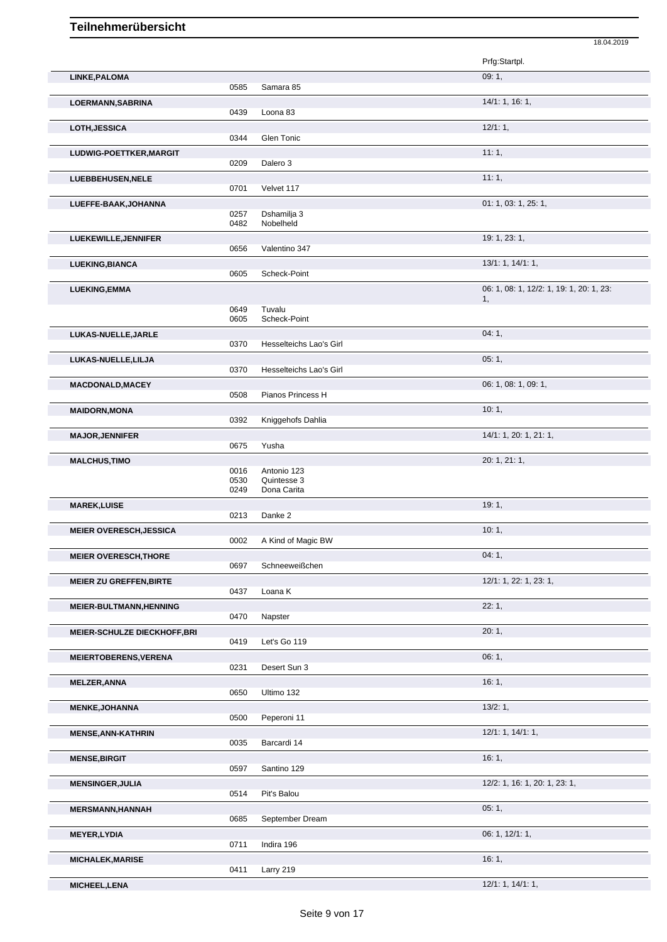|                                     |              |                            | 18.04.2019                               |
|-------------------------------------|--------------|----------------------------|------------------------------------------|
|                                     |              |                            | Prfg:Startpl.                            |
| LINKE, PALOMA                       |              |                            | 09:1,                                    |
|                                     | 0585         | Samara 85                  |                                          |
| LOERMANN, SABRINA                   |              |                            | 14/1: 1, 16: 1,                          |
|                                     | 0439         | Loona 83                   |                                          |
| LOTH, JESSICA                       | 0344         | Glen Tonic                 | 12/1:1,                                  |
| LUDWIG-POETTKER, MARGIT             |              |                            | 11:1,                                    |
|                                     | 0209         | Dalero 3                   |                                          |
| LUEBBEHUSEN, NELE                   |              |                            | 11:1,                                    |
|                                     | 0701         | Velvet 117                 |                                          |
| LUEFFE-BAAK, JOHANNA                |              |                            | 01: 1, 03: 1, 25: 1,                     |
|                                     | 0257<br>0482 | Dshamilja 3<br>Nobelheld   |                                          |
| LUEKEWILLE, JENNIFER                |              |                            | 19: 1, 23: 1,                            |
|                                     | 0656         | Valentino 347              |                                          |
| <b>LUEKING, BIANCA</b>              |              |                            | 13/1: 1, 14/1: 1,                        |
|                                     | 0605         | Scheck-Point               |                                          |
| <b>LUEKING, EMMA</b>                |              |                            | 06: 1, 08: 1, 12/2: 1, 19: 1, 20: 1, 23: |
|                                     | 0649         | Tuvalu                     | 1,                                       |
|                                     | 0605         | Scheck-Point               |                                          |
| LUKAS-NUELLE, JARLE                 |              |                            | 04:1,                                    |
|                                     | 0370         | Hesselteichs Lao's Girl    |                                          |
| LUKAS-NUELLE, LILJA                 |              |                            | 05:1,                                    |
|                                     | 0370         | Hesselteichs Lao's Girl    |                                          |
| <b>MACDONALD, MACEY</b>             | 0508         | Pianos Princess H          | 06: 1, 08: 1, 09: 1,                     |
| <b>MAIDORN, MONA</b>                |              |                            | 10:1,                                    |
|                                     | 0392         | Kniggehofs Dahlia          |                                          |
| <b>MAJOR, JENNIFER</b>              |              |                            | 14/1: 1, 20: 1, 21: 1,                   |
|                                     | 0675         | Yusha                      |                                          |
| <b>MALCHUS, TIMO</b>                |              |                            | 20: 1, 21: 1,                            |
|                                     | 0016<br>0530 | Antonio 123<br>Quintesse 3 |                                          |
|                                     | 0249         | Dona Carita                |                                          |
| <b>MAREK, LUISE</b>                 |              |                            | 19:1,                                    |
|                                     | 0213         | Danke <sub>2</sub>         |                                          |
| <b>MEIER OVERESCH, JESSICA</b>      |              |                            | 10:1,                                    |
|                                     | 0002         | A Kind of Magic BW         |                                          |
| <b>MEIER OVERESCH, THORE</b>        | 0697         | Schneeweißchen             | 04:1,                                    |
| <b>MEIER ZU GREFFEN, BIRTE</b>      |              |                            | 12/1: 1, 22: 1, 23: 1,                   |
|                                     | 0437         | Loana K                    |                                          |
| MEIER-BULTMANN, HENNING             |              |                            | 22:1,                                    |
|                                     | 0470         | Napster                    |                                          |
| <b>MEIER-SCHULZE DIECKHOFF, BRI</b> |              |                            | 20:1,                                    |
|                                     | 0419         | Let's Go 119               |                                          |
| <b>MEIERTOBERENS, VERENA</b>        |              |                            | 06:1,                                    |
|                                     | 0231         | Desert Sun 3               | 16:1,                                    |
| <b>MELZER, ANNA</b>                 | 0650         | Ultimo 132                 |                                          |
| <b>MENKE, JOHANNA</b>               |              |                            | 13/2:1,                                  |
|                                     | 0500         | Peperoni 11                |                                          |
| <b>MENSE, ANN-KATHRIN</b>           |              |                            | 12/1: 1, 14/1: 1,                        |
|                                     | 0035         | Barcardi 14                |                                          |
| <b>MENSE, BIRGIT</b>                |              |                            | 16:1,                                    |
|                                     | 0597         | Santino 129                |                                          |
| <b>MENSINGER, JULIA</b>             | 0514         | Pit's Balou                | 12/2: 1, 16: 1, 20: 1, 23: 1,            |
|                                     |              |                            |                                          |
| <b>MERSMANN, HANNAH</b>             | 0685         | September Dream            | 05:1,                                    |
| <b>MEYER, LYDIA</b>                 |              |                            | 06: 1, 12/1: 1,                          |
|                                     | 0711         | Indira 196                 |                                          |
| <b>MICHALEK, MARISE</b>             |              |                            | 16:1,                                    |
|                                     | 0411         | Larry 219                  |                                          |
| <b>MICHEEL, LENA</b>                |              |                            | 12/1: 1, 14/1: 1,                        |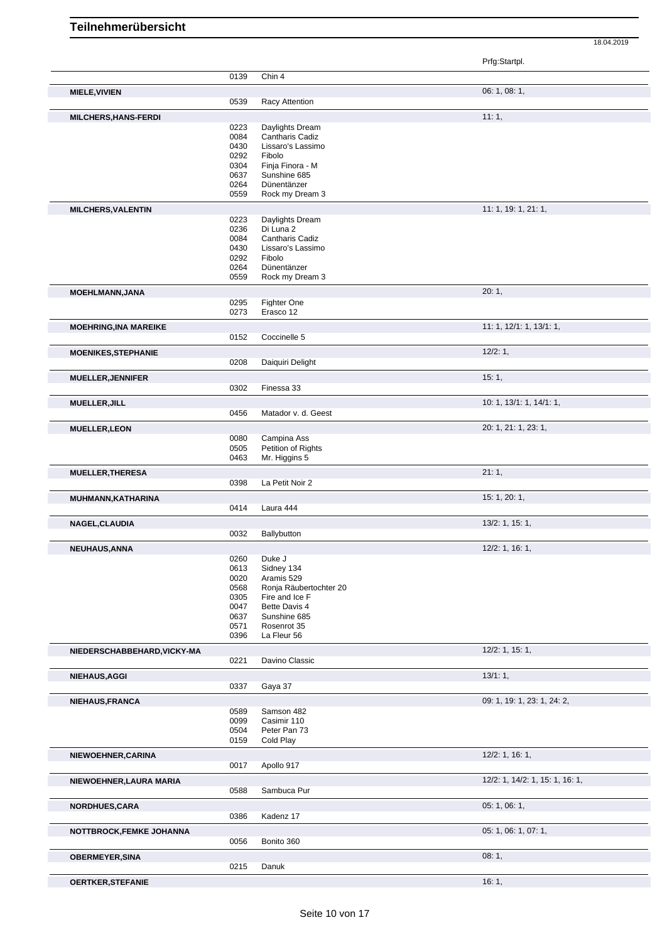|                              |              |                                | Prfg:Startpl.                   |
|------------------------------|--------------|--------------------------------|---------------------------------|
|                              | 0139         | Chin 4                         |                                 |
| <b>MIELE, VIVIEN</b>         |              |                                | 06: 1, 08: 1,                   |
|                              | 0539         | Racy Attention                 |                                 |
| <b>MILCHERS, HANS-FERDI</b>  |              |                                | 11:1,                           |
|                              | 0223         | Daylights Dream                |                                 |
|                              | 0084         | Cantharis Cadiz                |                                 |
|                              | 0430         | Lissaro's Lassimo              |                                 |
|                              | 0292         | Fibolo                         |                                 |
|                              | 0304<br>0637 | Finja Finora - M               |                                 |
|                              | 0264         | Sunshine 685<br>Dünentänzer    |                                 |
|                              | 0559         | Rock my Dream 3                |                                 |
| MILCHERS, VALENTIN           |              |                                | 11: 1, 19: 1, 21: 1,            |
|                              | 0223         | Daylights Dream                |                                 |
|                              | 0236         | Di Luna 2                      |                                 |
|                              | 0084         | Cantharis Cadiz                |                                 |
|                              | 0430         | Lissaro's Lassimo              |                                 |
|                              | 0292         | Fibolo                         |                                 |
|                              | 0264<br>0559 | Dünentänzer<br>Rock my Dream 3 |                                 |
|                              |              |                                |                                 |
| <b>MOEHLMANN, JANA</b>       |              |                                | 20:1,                           |
|                              | 0295<br>0273 | Fighter One<br>Erasco 12       |                                 |
|                              |              |                                |                                 |
| <b>MOEHRING, INA MAREIKE</b> |              |                                | 11: 1, 12/1: 1, 13/1: 1,        |
|                              | 0152         | Coccinelle 5                   |                                 |
| <b>MOENIKES, STEPHANIE</b>   |              |                                | 12/2:1,                         |
|                              | 0208         | Daiquiri Delight               |                                 |
| <b>MUELLER, JENNIFER</b>     |              |                                | 15:1,                           |
|                              | 0302         | Finessa 33                     |                                 |
| <b>MUELLER, JILL</b>         |              |                                | 10: 1, 13/1: 1, 14/1: 1,        |
|                              | 0456         | Matador v. d. Geest            |                                 |
| <b>MUELLER, LEON</b>         |              |                                | 20: 1, 21: 1, 23: 1,            |
|                              | 0080         | Campina Ass                    |                                 |
|                              | 0505         | Petition of Rights             |                                 |
|                              | 0463         | Mr. Higgins 5                  |                                 |
| <b>MUELLER, THERESA</b>      |              |                                | 21:1,                           |
|                              | 0398         | La Petit Noir 2                |                                 |
| MUHMANN, KATHARINA           |              |                                | 15:1,20:1,                      |
|                              | 0414         | Laura 444                      |                                 |
| NAGEL, CLAUDIA               |              |                                | 13/2: 1, 15: 1,                 |
|                              | 0032         | Ballybutton                    |                                 |
| <b>NEUHAUS, ANNA</b>         |              |                                | 12/2: 1, 16: 1,                 |
|                              | 0260         | Duke J                         |                                 |
|                              | 0613         | Sidney 134                     |                                 |
|                              | 0020         | Aramis 529                     |                                 |
|                              | 0568         | Ronja Räubertochter 20         |                                 |
|                              | 0305         | Fire and Ice F                 |                                 |
|                              | 0047<br>0637 | Bette Davis 4<br>Sunshine 685  |                                 |
|                              | 0571         | Rosenrot 35                    |                                 |
|                              | 0396         | La Fleur 56                    |                                 |
| NIEDERSCHABBEHARD, VICKY-MA  |              |                                | 12/2: 1, 15: 1,                 |
|                              | 0221         | Davino Classic                 |                                 |
|                              |              |                                | 13/1:1                          |
| <b>NIEHAUS, AGGI</b>         | 0337         | Gaya 37                        |                                 |
|                              |              |                                |                                 |
| <b>NIEHAUS, FRANCA</b>       |              |                                | 09: 1, 19: 1, 23: 1, 24: 2,     |
|                              | 0589<br>0099 | Samson 482<br>Casimir 110      |                                 |
|                              | 0504         | Peter Pan 73                   |                                 |
|                              | 0159         | Cold Play                      |                                 |
| NIEWOEHNER, CARINA           |              |                                | $12/2$ : 1, 16: 1,              |
|                              | 0017         | Apollo 917                     |                                 |
|                              |              |                                | 12/2: 1, 14/2: 1, 15: 1, 16: 1, |
| NIEWOEHNER, LAURA MARIA      | 0588         | Sambuca Pur                    |                                 |
|                              |              |                                |                                 |
| <b>NORDHUES,CARA</b>         |              |                                | 05: 1, 06: 1,                   |
|                              | 0386         | Kadenz 17                      |                                 |
| NOTTBROCK, FEMKE JOHANNA     |              |                                | 05: 1, 06: 1, 07: 1,            |
|                              | 0056         | Bonito 360                     |                                 |
| <b>OBERMEYER, SINA</b>       |              |                                | 08:1,                           |
|                              | 0215         | Danuk                          |                                 |
| <b>OERTKER, STEFANIE</b>     |              |                                | 16:1,                           |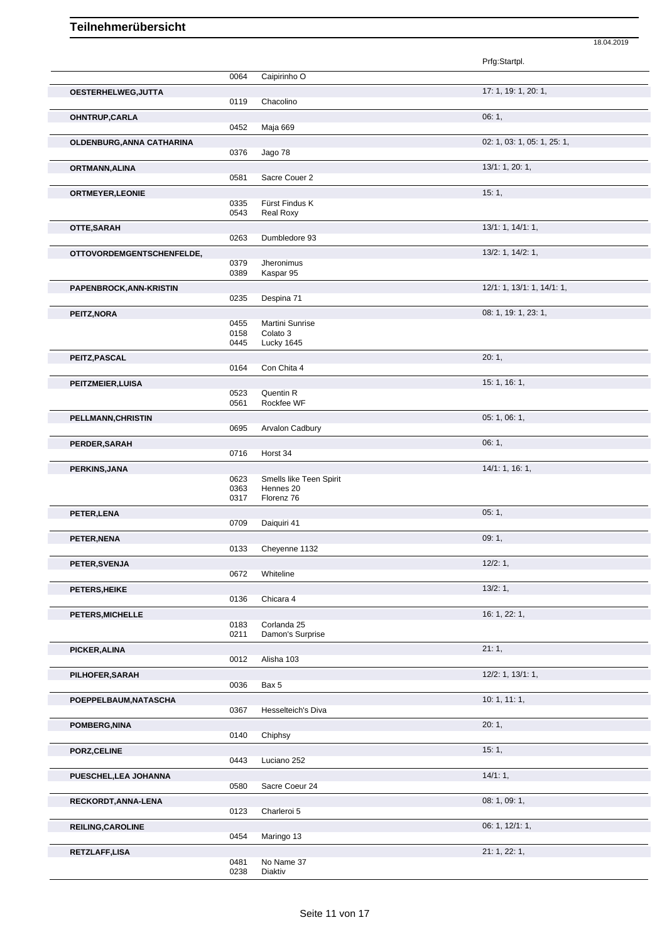|                           |              |                                    | Prfg:Startpl.               |
|---------------------------|--------------|------------------------------------|-----------------------------|
|                           | 0064         | Caipirinho O                       |                             |
| OESTERHELWEG, JUTTA       |              |                                    | 17: 1, 19: 1, 20: 1,        |
|                           | 0119         | Chacolino                          |                             |
| <b>OHNTRUP, CARLA</b>     |              |                                    | 06:1,                       |
|                           | 0452         | Maja 669                           |                             |
| OLDENBURG, ANNA CATHARINA |              |                                    | 02: 1, 03: 1, 05: 1, 25: 1, |
|                           | 0376         | Jago 78                            |                             |
| ORTMANN, ALINA            |              |                                    | 13/1: 1, 20: 1,             |
|                           | 0581         | Sacre Couer 2                      |                             |
| <b>ORTMEYER, LEONIE</b>   |              |                                    | 15:1,                       |
|                           | 0335<br>0543 | Fürst Findus K<br><b>Real Roxy</b> |                             |
| OTTE, SARAH               |              |                                    | 13/1: 1, 14/1: 1,           |
|                           | 0263         | Dumbledore 93                      |                             |
| OTTOVORDEMGENTSCHENFELDE, |              |                                    | 13/2: 1, 14/2: 1,           |
|                           | 0379         | Jheronimus                         |                             |
|                           | 0389         | Kaspar 95                          |                             |
| PAPENBROCK, ANN-KRISTIN   |              |                                    | 12/1: 1, 13/1: 1, 14/1: 1,  |
|                           | 0235         | Despina 71                         |                             |
| PEITZ, NORA               |              |                                    | 08: 1, 19: 1, 23: 1,        |
|                           | 0455<br>0158 | Martini Sunrise<br>Colato 3        |                             |
|                           | 0445         | Lucky 1645                         |                             |
| PEITZ, PASCAL             |              |                                    | 20:1,                       |
|                           | 0164         | Con Chita 4                        |                             |
| PEITZMEIER, LUISA         |              |                                    | 15: 1, 16: 1,               |
|                           | 0523<br>0561 | Quentin R<br>Rockfee WF            |                             |
|                           |              |                                    | 05: 1, 06: 1,               |
| PELLMANN, CHRISTIN        | 0695         | Arvalon Cadbury                    |                             |
| PERDER, SARAH             |              |                                    | 06:1,                       |
|                           | 0716         | Horst 34                           |                             |
| <b>PERKINS, JANA</b>      |              |                                    | 14/1: 1, 16: 1,             |
|                           | 0623         | Smells like Teen Spirit            |                             |
|                           | 0363<br>0317 | Hennes 20<br>Florenz 76            |                             |
|                           |              |                                    | 05:1,                       |
| PETER, LENA               | 0709         | Daiquiri 41                        |                             |
| PETER, NENA               |              |                                    | 09:1,                       |
|                           | 0133         | Cheyenne 1132                      |                             |
| PETER, SVENJA             |              |                                    | 12/2:1,                     |
|                           | 0672         | Whiteline                          |                             |
| PETERS, HEIKE             |              |                                    | 13/2:1,                     |
|                           | 0136         | Chicara 4                          |                             |
| PETERS, MICHELLE          |              |                                    | 16: 1, 22: 1,               |
|                           | 0183<br>0211 | Corlanda 25<br>Damon's Surprise    |                             |
|                           |              |                                    | 21:1,                       |
| PICKER, ALINA             | 0012         | Alisha 103                         |                             |
| PILHOFER, SARAH           |              |                                    | $12/2$ : 1, $13/1$ : 1,     |
|                           | 0036         | Bax 5                              |                             |
| POEPPELBAUM, NATASCHA     |              |                                    | 10:1, 11:1,                 |
|                           | 0367         | Hesselteich's Diva                 |                             |
| POMBERG, NINA             |              |                                    | 20:1,                       |
|                           | 0140         | Chiphsy                            |                             |
| PORZ, CELINE              |              |                                    | 15:1,                       |
|                           | 0443         | Luciano 252                        |                             |
| PUESCHEL, LEA JOHANNA     |              |                                    | 14/1:1,                     |
|                           | 0580         | Sacre Coeur 24                     |                             |
| RECKORDT, ANNA-LENA       |              |                                    | 08: 1, 09: 1,               |
|                           | 0123         | Charleroi 5                        |                             |
| <b>REILING, CAROLINE</b>  | 0454         | Maringo 13                         | 06: 1, 12/1: 1,             |
|                           |              |                                    |                             |
|                           |              |                                    |                             |
| RETZLAFF,LISA             | 0481         | No Name 37                         | 21: 1, 22: 1,               |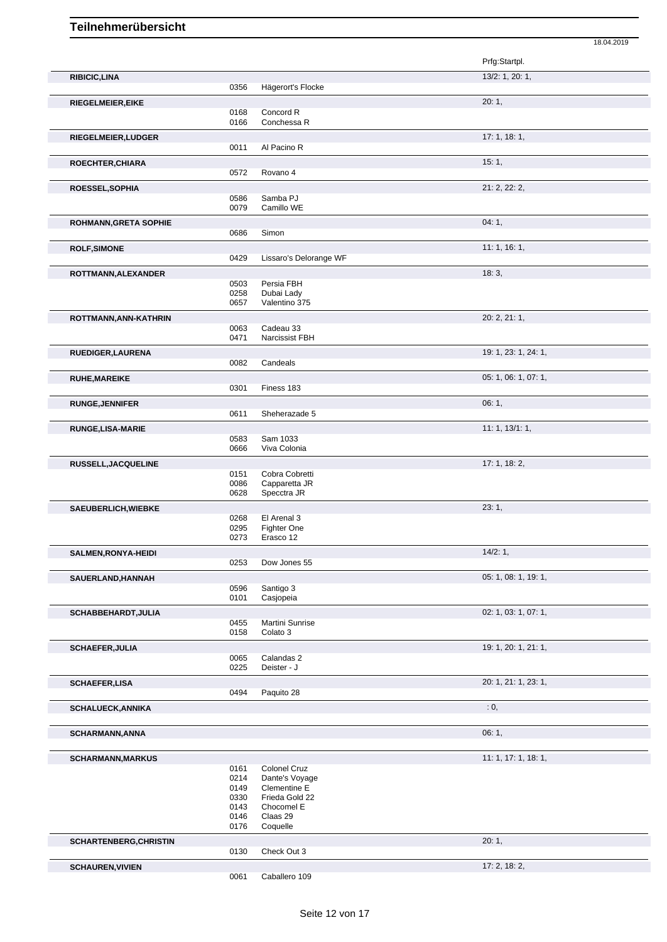|                               |              |                                 | 18.04.2019           |
|-------------------------------|--------------|---------------------------------|----------------------|
|                               |              |                                 | Prfg:Startpl.        |
| <b>RIBICIC, LINA</b>          |              |                                 | 13/2: 1, 20: 1,      |
|                               | 0356         | Hägerort's Flocke               |                      |
| RIEGELMEIER, EIKE             |              |                                 | 20:1,                |
|                               | 0168<br>0166 | Concord R<br>Conchessa R        |                      |
| RIEGELMEIER, LUDGER           |              |                                 | 17:1, 18:1,          |
|                               | 0011         | Al Pacino R                     |                      |
| ROECHTER, CHIARA              |              |                                 | 15:1,                |
|                               | 0572         | Rovano 4                        |                      |
| ROESSEL, SOPHIA               |              |                                 | 21: 2, 22: 2,        |
|                               | 0586<br>0079 | Samba PJ<br>Camillo WE          |                      |
| <b>ROHMANN, GRETA SOPHIE</b>  |              |                                 | 04:1,                |
|                               | 0686         | Simon                           |                      |
| <b>ROLF, SIMONE</b>           |              |                                 | 11: 1, 16: 1,        |
|                               | 0429         | Lissaro's Delorange WF          |                      |
| ROTTMANN, ALEXANDER           |              |                                 | 18:3,                |
|                               | 0503<br>0258 | Persia FBH<br>Dubai Lady        |                      |
|                               | 0657         | Valentino 375                   |                      |
| ROTTMANN, ANN-KATHRIN         |              |                                 | 20: 2, 21: 1,        |
|                               | 0063         | Cadeau 33                       |                      |
|                               | 0471         | Narcissist FBH                  |                      |
| RUEDIGER, LAURENA             |              |                                 | 19: 1, 23: 1, 24: 1, |
|                               | 0082         | Candeals                        |                      |
| <b>RUHE, MAREIKE</b>          | 0301         | Finess 183                      | 05: 1, 06: 1, 07: 1, |
|                               |              |                                 | 06:1,                |
| <b>RUNGE, JENNIFER</b>        | 0611         | Sheherazade 5                   |                      |
| RUNGE, LISA-MARIE             |              |                                 | 11: 1, 13/1: 1,      |
|                               | 0583         | Sam 1033                        |                      |
|                               | 0666         | Viva Colonia                    |                      |
| RUSSELL, JACQUELINE           |              |                                 | 17: 1, 18: 2,        |
|                               | 0151<br>0086 | Cobra Cobretti<br>Capparetta JR |                      |
|                               | 0628         | Specctra JR                     |                      |
| SAEUBERLICH, WIEBKE           |              |                                 | 23:1,                |
|                               | 0268         | El Arenal 3                     |                      |
|                               | 0295<br>0273 | Fighter One<br>Erasco 12        |                      |
| SALMEN, RONYA-HEIDI           |              |                                 | 14/2:1,              |
|                               | 0253         | Dow Jones 55                    |                      |
| SAUERLAND, HANNAH             |              |                                 | 05: 1, 08: 1, 19: 1, |
|                               | 0596         | Santigo 3                       |                      |
|                               | 0101         | Casjopeia                       |                      |
| SCHABBEHARDT, JULIA           | 0455         | Martini Sunrise                 | 02: 1, 03: 1, 07: 1, |
|                               | 0158         | Colato 3                        |                      |
| <b>SCHAEFER, JULIA</b>        |              |                                 | 19: 1, 20: 1, 21: 1, |
|                               | 0065         | Calandas 2                      |                      |
|                               | 0225         | Deister - J                     |                      |
| <b>SCHAEFER,LISA</b>          | 0494         | Paquito 28                      | 20: 1, 21: 1, 23: 1, |
|                               |              |                                 | : 0,                 |
| SCHALUECK, ANNIKA             |              |                                 |                      |
| <b>SCHARMANN, ANNA</b>        |              |                                 | 06:1,                |
|                               |              |                                 |                      |
| <b>SCHARMANN, MARKUS</b>      |              |                                 | 11: 1, 17: 1, 18: 1, |
|                               | 0161         | Colonel Cruz                    |                      |
|                               | 0214<br>0149 | Dante's Voyage<br>Clementine E  |                      |
|                               | 0330         | Frieda Gold 22                  |                      |
|                               | 0143<br>0146 | Chocomel E<br>Claas 29          |                      |
|                               | 0176         | Coquelle                        |                      |
| <b>SCHARTENBERG, CHRISTIN</b> |              |                                 | 20:1,                |
|                               | 0130         | Check Out 3                     |                      |
| <b>SCHAUREN, VIVIEN</b>       |              |                                 | 17: 2, 18: 2,        |
|                               | 0061         | Caballero 109                   |                      |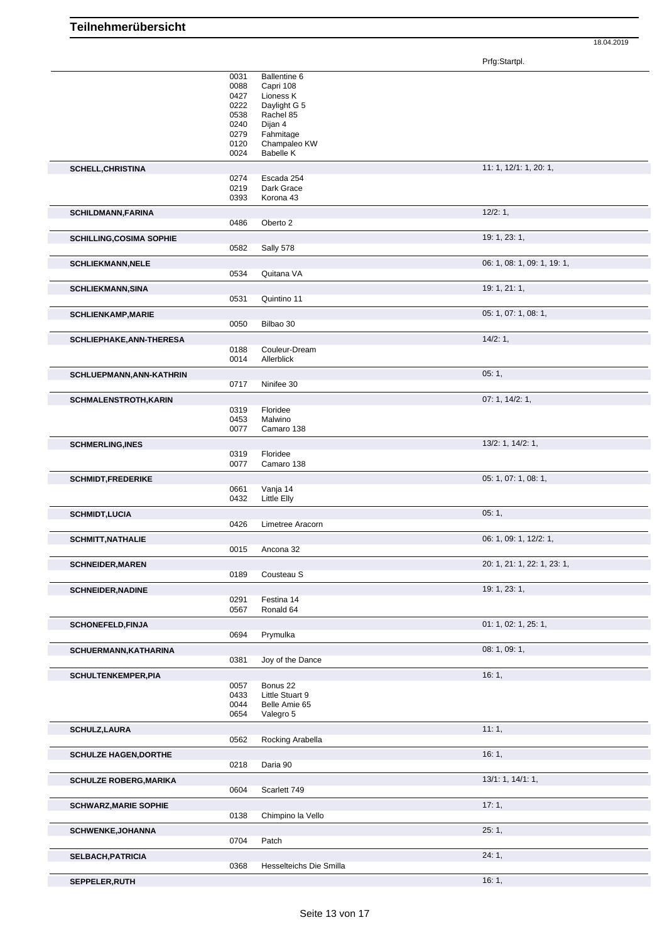Prfg:Startpl.

|                                 | 0031<br>0088<br>0427<br>0222<br>0538<br>0240<br>0279<br>0120<br>0024 | Ballentine 6<br>Capri 108<br>Lioness K<br>Daylight G 5<br>Rachel 85<br>Dijan 4<br>Fahmitage<br>Champaleo KW<br><b>Babelle K</b> |                             |
|---------------------------------|----------------------------------------------------------------------|---------------------------------------------------------------------------------------------------------------------------------|-----------------------------|
| <b>SCHELL, CHRISTINA</b>        |                                                                      |                                                                                                                                 | 11: 1, 12/1: 1, 20: 1,      |
|                                 | 0274<br>0219<br>0393                                                 | Escada 254<br>Dark Grace<br>Korona 43                                                                                           |                             |
| <b>SCHILDMANN, FARINA</b>       |                                                                      |                                                                                                                                 | 12/2:1,                     |
|                                 | 0486                                                                 | Oberto 2                                                                                                                        |                             |
| <b>SCHILLING, COSIMA SOPHIE</b> | 0582                                                                 | Sally 578                                                                                                                       | 19: 1, 23: 1,               |
| <b>SCHLIEKMANN, NELE</b>        | 0534                                                                 | Quitana VA                                                                                                                      | 06: 1, 08: 1, 09: 1, 19: 1, |
| <b>SCHLIEKMANN, SINA</b>        | 0531                                                                 | Quintino 11                                                                                                                     | 19: 1, 21: 1,               |
| <b>SCHLIENKAMP, MARIE</b>       | 0050                                                                 | Bilbao 30                                                                                                                       | 05: 1, 07: 1, 08: 1,        |
| <b>SCHLIEPHAKE, ANN-THERESA</b> | 0188<br>0014                                                         | Couleur-Dream<br>Allerblick                                                                                                     | 14/2:1,                     |
| SCHLUEPMANN, ANN-KATHRIN        | 0717                                                                 | Ninifee 30                                                                                                                      | 05:1,                       |
| SCHMALENSTROTH, KARIN           |                                                                      |                                                                                                                                 | 07: 1, 14/2: 1,             |
|                                 | 0319<br>0453<br>0077                                                 | Floridee<br>Malwino<br>Camaro 138                                                                                               |                             |
| <b>SCHMERLING, INES</b>         |                                                                      |                                                                                                                                 | 13/2: 1, 14/2: 1,           |
|                                 | 0319<br>0077                                                         | Floridee<br>Camaro 138                                                                                                          |                             |
| <b>SCHMIDT,FREDERIKE</b>        |                                                                      |                                                                                                                                 | 05: 1, 07: 1, 08: 1,        |
|                                 | 0661<br>0432                                                         | Vanja 14<br><b>Little Elly</b>                                                                                                  |                             |
| <b>SCHMIDT,LUCIA</b>            |                                                                      |                                                                                                                                 | 05:1,                       |
| <b>SCHMITT, NATHALIE</b>        | 0426                                                                 | Limetree Aracorn                                                                                                                | 06: 1, 09: 1, 12/2: 1,      |
|                                 | 0015                                                                 | Ancona 32                                                                                                                       |                             |
| <b>SCHNEIDER, MAREN</b>         | 0189                                                                 | Cousteau S                                                                                                                      | 20: 1, 21: 1, 22: 1, 23: 1, |
| <b>SCHNEIDER, NADINE</b>        |                                                                      |                                                                                                                                 | 19: 1, 23: 1,               |
|                                 | 0291<br>0567                                                         | Festina 14<br>Ronald 64                                                                                                         |                             |
| <b>SCHONEFELD, FINJA</b>        |                                                                      |                                                                                                                                 | 01: 1, 02: 1, 25: 1,        |
|                                 | 0694                                                                 | Prymulka                                                                                                                        |                             |
| SCHUERMANN, KATHARINA           | 0381                                                                 | Joy of the Dance                                                                                                                | 08:1,09:1,                  |
| <b>SCHULTENKEMPER, PIA</b>      |                                                                      |                                                                                                                                 | 16:1,                       |
|                                 | 0057                                                                 | Bonus 22                                                                                                                        |                             |
|                                 | 0433<br>0044                                                         | Little Stuart 9<br>Belle Amie 65                                                                                                |                             |
|                                 | 0654                                                                 | Valegro 5                                                                                                                       |                             |
| <b>SCHULZ, LAURA</b>            | 0562                                                                 | Rocking Arabella                                                                                                                | 11:1,                       |
| <b>SCHULZE HAGEN, DORTHE</b>    | 0218                                                                 | Daria 90                                                                                                                        | 16:1,                       |
| <b>SCHULZE ROBERG, MARIKA</b>   |                                                                      |                                                                                                                                 | 13/1: 1, 14/1: 1,           |
|                                 | 0604                                                                 | Scarlett 749                                                                                                                    |                             |
| <b>SCHWARZ, MARIE SOPHIE</b>    | 0138                                                                 | Chimpino la Vello                                                                                                               | 17:1,                       |
| <b>SCHWENKE, JOHANNA</b>        |                                                                      |                                                                                                                                 | 25:1,                       |
|                                 | 0704                                                                 | Patch                                                                                                                           |                             |
| SELBACH, PATRICIA               | 0368                                                                 | Hesselteichs Die Smilla                                                                                                         | 24:1,                       |
| SEPPELER, RUTH                  |                                                                      |                                                                                                                                 | 16:1,                       |
|                                 |                                                                      |                                                                                                                                 |                             |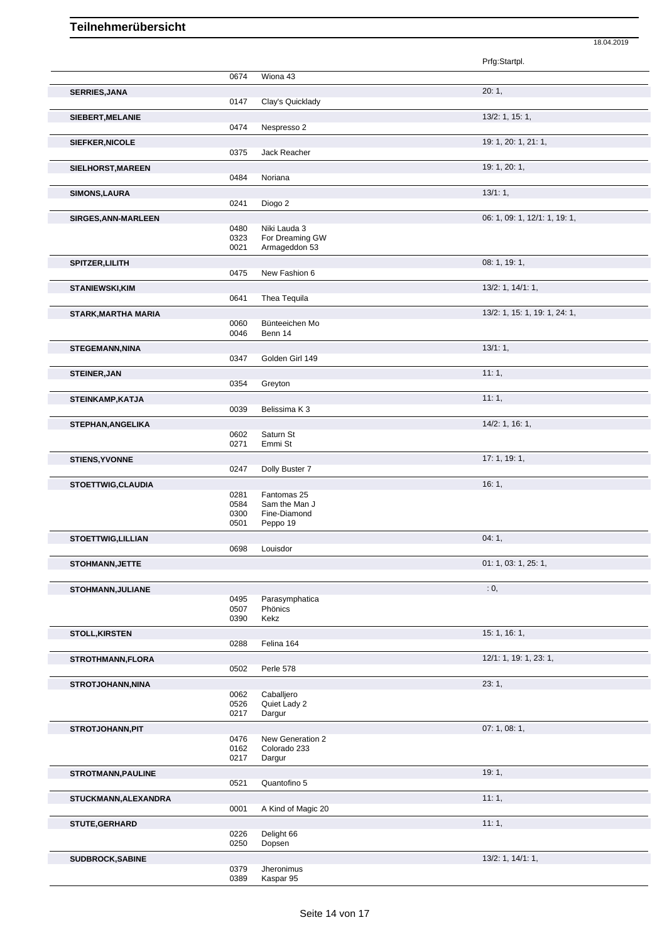|                            |              |                                  | Prfg:Startpl.                 |
|----------------------------|--------------|----------------------------------|-------------------------------|
|                            | 0674         | Wiona 43                         |                               |
|                            |              |                                  | 20:1,                         |
| <b>SERRIES, JANA</b>       | 0147         | Clay's Quicklady                 |                               |
|                            |              |                                  |                               |
| SIEBERT, MELANIE           | 0474         | Nespresso 2                      | 13/2: 1, 15: 1,               |
|                            |              |                                  |                               |
| SIEFKER, NICOLE            |              |                                  | 19: 1, 20: 1, 21: 1,          |
|                            | 0375         | Jack Reacher                     |                               |
| SIELHORST, MAREEN          |              |                                  | 19: 1, 20: 1,                 |
|                            | 0484         | Noriana                          |                               |
| SIMONS, LAURA              |              |                                  | 13/1:1,                       |
|                            | 0241         | Diogo 2                          |                               |
| SIRGES, ANN-MARLEEN        |              |                                  | 06: 1, 09: 1, 12/1: 1, 19: 1, |
|                            | 0480         | Niki Lauda 3                     |                               |
|                            | 0323         | For Dreaming GW                  |                               |
|                            | 0021         | Armageddon 53                    |                               |
| SPITZER, LILITH            |              |                                  | 08: 1, 19: 1,                 |
|                            | 0475         | New Fashion 6                    |                               |
| <b>STANIEWSKI,KIM</b>      |              |                                  | 13/2: 1, 14/1: 1,             |
|                            | 0641         | Thea Tequila                     |                               |
| <b>STARK, MARTHA MARIA</b> |              |                                  | 13/2: 1, 15: 1, 19: 1, 24: 1, |
|                            | 0060         | Bünteeichen Mo                   |                               |
|                            | 0046         | Benn 14                          |                               |
| <b>STEGEMANN, NINA</b>     |              |                                  | 13/1:1,                       |
|                            | 0347         | Golden Girl 149                  |                               |
|                            |              |                                  | 11:1,                         |
| <b>STEINER, JAN</b>        | 0354         | Greyton                          |                               |
|                            |              |                                  |                               |
| STEINKAMP, KATJA           |              |                                  | 11:1,                         |
|                            | 0039         | Belissima K 3                    |                               |
| STEPHAN, ANGELIKA          |              |                                  | 14/2: 1, 16: 1,               |
|                            | 0602         | Saturn St                        |                               |
|                            | 0271         | Emmi St                          |                               |
| <b>STIENS, YVONNE</b>      |              |                                  | 17:1, 19:1,                   |
|                            | 0247         | Dolly Buster 7                   |                               |
| STOETTWIG, CLAUDIA         |              |                                  | 16:1,                         |
|                            | 0281         | Fantomas 25                      |                               |
|                            | 0584<br>0300 | Sam the Man J<br>Fine-Diamond    |                               |
|                            | 0501         | Peppo 19                         |                               |
|                            |              |                                  | 04:1,                         |
| <b>STOETTWIG, LILLIAN</b>  | 0698         | Louisdor                         |                               |
|                            |              |                                  |                               |
| STOHMANN, JETTE            |              |                                  | 01: 1, 03: 1, 25: 1,          |
|                            |              |                                  |                               |
| STOHMANN, JULIANE          |              |                                  | : 0,                          |
|                            | 0495<br>0507 | Parasymphatica<br>Phönics        |                               |
|                            | 0390         | Kekz                             |                               |
|                            |              |                                  |                               |
| <b>STOLL, KIRSTEN</b>      | 0288         | Felina 164                       | 15: 1, 16: 1,                 |
|                            |              |                                  |                               |
| <b>STROTHMANN,FLORA</b>    |              |                                  | 12/1: 1, 19: 1, 23: 1,        |
|                            | 0502         | Perle 578                        |                               |
| <b>STROTJOHANN, NINA</b>   |              |                                  | 23:1,                         |
|                            | 0062         | Caballjero                       |                               |
|                            | 0526<br>0217 | Quiet Lady 2<br>Dargur           |                               |
|                            |              |                                  |                               |
| STROTJOHANN, PIT           |              |                                  | 07:1,08:1,                    |
|                            | 0476<br>0162 | New Generation 2<br>Colorado 233 |                               |
|                            | 0217         | Dargur                           |                               |
|                            |              |                                  |                               |
| <b>STROTMANN, PAULINE</b>  | 0521         | Quantofino 5                     | 19:1,                         |
|                            |              |                                  |                               |
| STUCKMANN, ALEXANDRA       |              |                                  | 11:1,                         |
|                            | 0001         | A Kind of Magic 20               |                               |
| STUTE, GERHARD             |              |                                  | 11:1,                         |
|                            | 0226<br>0250 | Delight 66<br>Dopsen             |                               |
|                            |              |                                  |                               |
| <b>SUDBROCK, SABINE</b>    |              |                                  | 13/2: 1, 14/1: 1,             |

18.04.2019

0379 Jheronimus 0389 Kaspar 95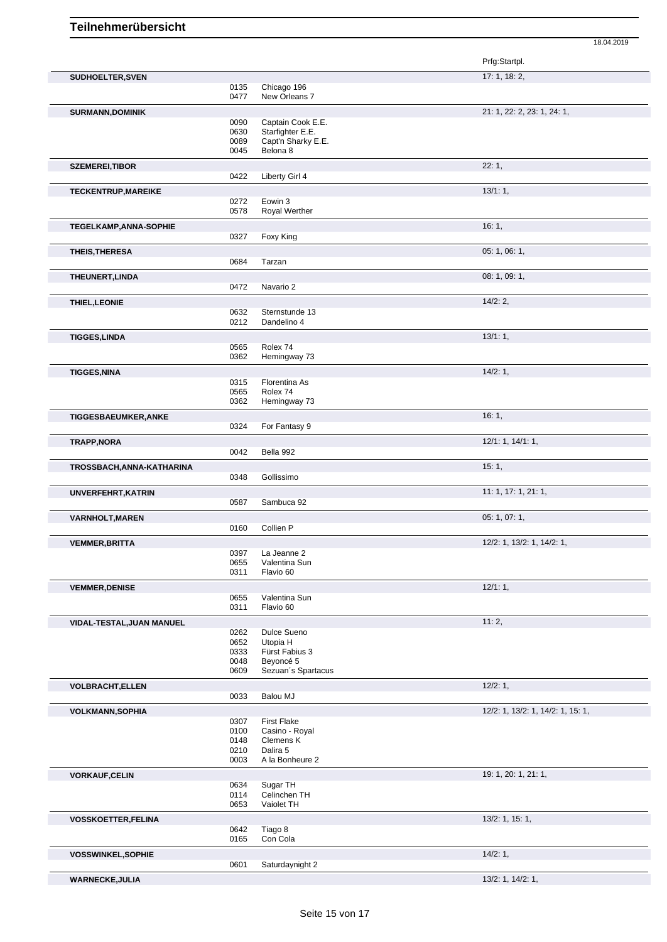Prfg:Startpl. **SUDHOELTER,SVEN** 17: 1, 18: 2, 0135 Chicago 196<br>0477 New Orleans New Orleans 7 **SURMANN,DOMINIK** 21: 1, 22: 2, 23: 1, 24: 1, 0090 Captain Cook E.E.<br>0630 Starfighter E.E. 0630 Starfighter E.E.<br>0089 Capt'n Sharky I 0089 Capt'n Sharky E.E.<br>0045 Belona 8 Belona 8 **SZEMEREI,TIBOR** 22: 1,<br>
22: 1,<br>
22: 24: Liberty Girl 4 Liberty Girl 4 **TECKENTRUP,MAREIKE** 13/1: 1,<br>0272 Eowin 3 0272 Eowin 3<br>0578 Royal W Royal Werther **TEGELKAMP,ANNA-SOPHIE** 0327 Foxy King 16: 1, 16: 1, 16: 1, Foxy King **THEIS, THERESA** 05: 1, 06: 1, 06: 1, 06: 1, 06: 1, 06: 1, 06: 1, 06: 1, 06: 1, 06: 1, 06: 1, 06: 1, 06: 1, 06: 1, 06: 1, 06: 1, 06: 1, 06: 1, 06: 1, 06: 1, 06: 1, 06: 1, 06: 1, 06: 1, 06: 1, 06: 1, 06: 1, 06: 1, 06: 1, 06 **Tarzan THEUNERT, LINDA** 08: 1, 09: 1, 09: 1, 09: 1, 09: 1, 09: 1, 09: 1, 09: 1, 09: 1, 09: 1, 09: 1, 09: 1, 09: 1, 09: 1, 09: 1, 09: 1, 09: 1, 09: 1, 09: 1, 09: 1, 09: 1, 09: 1, 09: 1, 09: 1, 09: 1, 09: 1, 09: 1, 09: 1, 09: 1, 0 Navario 2 **THIEL, LEONIE** 14/2: 2, 0632 Sternstunde 13 Sternstunde 13 0212 Dandelino 4 **TIGGES,LINDA** 13/1: 1, 0565 Rolex 74 0362 Hemingway 73 **TIGGES,NINA** 14/2: 1, 0315 Florentina As<br>0565 Rolex 74 Rolex 74 0362 Hemingway 73 **TIGGESBAEUMKER,ANKE** 16: 1, 2002, 2004, 2004, 2004, 2004, 2004, 2004, 2004, 2004, 2004, 2004, 2004, 2004, 2004, 2004, 2004, 2004, 2004, 2004, 2004, 2004, 2004, 2004, 2004, 2004, 2004, 2004, 2004, 2004, 2004, 2004, 2004, 2 0324 For Fantasy 9 **TRAPP, NORA** 12/1: 1, 14/1: 1, 14/1: 1, 16/1: 1, 16/22 Bella 992 Bella 992 **TROSSBACH,ANNA-KATHARINA** 15: 1, 2008 0348 Gollissimo Gollissimo **UNVERFEHRT,KATRIN** 11: 1, 17: 1, 21: 1, Sambuca 92 **VARNHOLT,MAREN** 05: 1, 07: 1, Collien P **VEMMER,BRITTA** 12/2: 1, 13/2: 1, 14/2: 1, 14/2: 1, 15/2: 1, 14/2: 1, 15/2: 1, 15/2: 1, 15/2: 1, 15/2: 1, 15/2: 1, 15/2: 1, 15/2: 1, 15/2: 1, 15/2: 1, 15/2: 1, 15/2: 1, 15/2: 1, 15/2: 1, 15/2: 1, 15/2: 1, 15/2: 1, 15/2: 1, 0397 La Jeanne 2<br>0655 Valentina Su 0655 Valentina Sun<br>0311 Flavio 60 Flavio 60 **VEMMER, DENISE** 12/1: 1, 20055 Valentina Sun 20065 Valentina Sun 20065 Valentina Sun 2006 12/1: 1, 2016 Valentina Sun 0311 Flavio 60 **VIDAL-TESTAL,JUAN MANUEL** 11: 2, 0262 Dulce Sueno 0652 Utopia H 0333 Fürst Fabius 3 0048 Beyoncé 5<br>0609 Sezuan's S Sezuan's Spartacus **VOLBRACHT,ELLEN** 12/2: 1, 0033 Balou MJ **VOLKMANN,SOPHIA** 12/2: 1, 13/2: 1, 14/2: 1, 15: 1, 0307 First Flake<br>0100 Casino - R 0100 Casino - Royal<br>0148 Clemens K 0148 Clemens K<br>0210 Dalira 5 0210 Dalira 5<br>0003 A la Bon A la Bonheure 2 **VORKAUF, CELIN** 19: 1, 20: 1, 21: 1, 0634 Sugar TH<br>0114 Celinchen 0114 Celinchen TH<br>0653 Vaiolet TH Vaiolet TH **VOSSKOETTER,FELINA** 13/2: 1, 15: 1,<br>
0642 Tiago 8 0642 Tiago 8<br>0165 Con Co Con Cola **VOSSWINKEL, SOPHIE** 14/2: 1, 0601 Saturdaynight 2

18.04.2019

Saturdaynight 2 **WARNECKE,JULIA** 13/2: 1, 14/2: 1,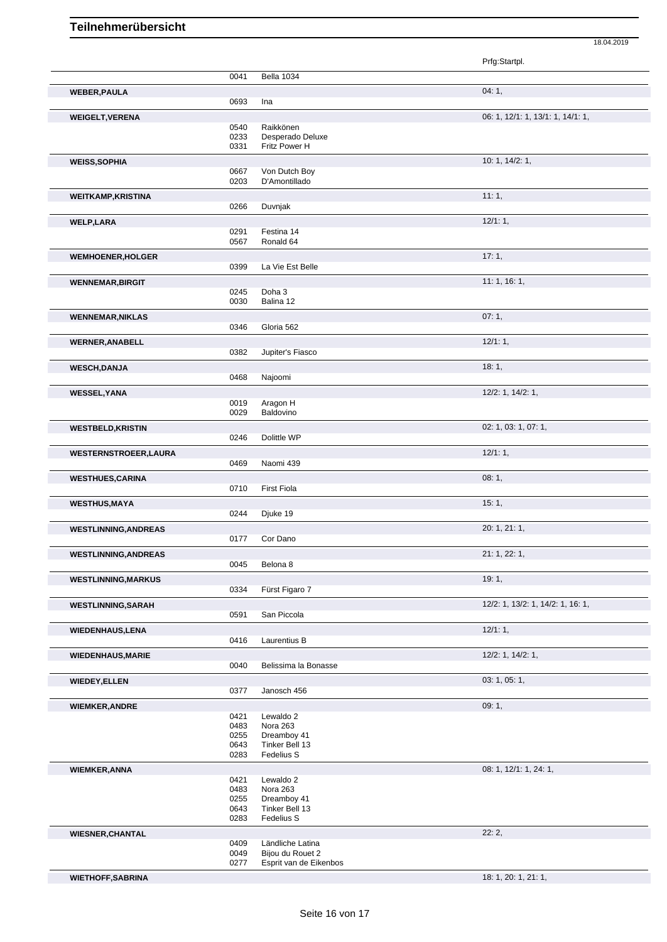|                             |              |                                   | Prfg:Startpl.                     |
|-----------------------------|--------------|-----------------------------------|-----------------------------------|
|                             | 0041         | Bella 1034                        |                                   |
| <b>WEBER, PAULA</b>         |              |                                   | 04:1,                             |
|                             | 0693         | Ina                               |                                   |
| <b>WEIGELT, VERENA</b>      |              |                                   | 06: 1, 12/1: 1, 13/1: 1, 14/1: 1, |
|                             | 0540         | Raikkönen                         |                                   |
|                             | 0233<br>0331 | Desperado Deluxe<br>Fritz Power H |                                   |
|                             |              |                                   |                                   |
| <b>WEISS, SOPHIA</b>        | 0667         | Von Dutch Boy                     | 10: 1, 14/2: 1,                   |
|                             | 0203         | D'Amontillado                     |                                   |
| <b>WEITKAMP, KRISTINA</b>   |              |                                   | 11:1,                             |
|                             | 0266         | Duvnjak                           |                                   |
|                             |              |                                   | 12/1:1,                           |
| <b>WELP,LARA</b>            | 0291         | Festina 14                        |                                   |
|                             | 0567         | Ronald 64                         |                                   |
| <b>WEMHOENER, HOLGER</b>    |              |                                   | 17:1,                             |
|                             | 0399         | La Vie Est Belle                  |                                   |
| <b>WENNEMAR, BIRGIT</b>     |              |                                   | 11:1, 16:1,                       |
|                             | 0245         | Doha 3                            |                                   |
|                             | 0030         | Balina 12                         |                                   |
| <b>WENNEMAR, NIKLAS</b>     |              |                                   | 07:1,                             |
|                             | 0346         | Gloria 562                        |                                   |
| <b>WERNER, ANABELL</b>      |              |                                   | 12/1:1,                           |
|                             | 0382         | Jupiter's Fiasco                  |                                   |
| <b>WESCH, DANJA</b>         |              |                                   | 18:1,                             |
|                             | 0468         | Najoomi                           |                                   |
| <b>WESSEL, YANA</b>         |              |                                   | 12/2: 1, 14/2: 1,                 |
|                             | 0019         | Aragon H                          |                                   |
|                             | 0029         | Baldovino                         |                                   |
| <b>WESTBELD, KRISTIN</b>    |              |                                   | 02: 1, 03: 1, 07: 1,              |
|                             | 0246         | Dolittle WP                       |                                   |
|                             |              |                                   | 12/1:1,                           |
| <b>WESTERNSTROEER,LAURA</b> | 0469         | Naomi 439                         |                                   |
|                             |              |                                   | 08:1,                             |
| <b>WESTHUES,CARINA</b>      | 0710         | First Fiola                       |                                   |
| <b>WESTHUS, MAYA</b>        |              |                                   | 15:1,                             |
|                             | 0244         | Djuke 19                          |                                   |
|                             |              |                                   | 20: 1, 21: 1,                     |
| <b>WESTLINNING, ANDREAS</b> | 0177         | Cor Dano                          |                                   |
|                             |              |                                   |                                   |
| <b>WESTLINNING, ANDREAS</b> | 0045         | Belona 8                          | 21: 1, 22: 1,                     |
|                             |              |                                   |                                   |
| <b>WESTLINNING, MARKUS</b>  | 0334         | Fürst Figaro 7                    | 19:1,                             |
|                             |              |                                   |                                   |
| <b>WESTLINNING, SARAH</b>   | 0591         | San Piccola                       | 12/2: 1, 13/2: 1, 14/2: 1, 16: 1, |
|                             |              |                                   |                                   |
| <b>WIEDENHAUS, LENA</b>     |              |                                   | 12/1:1,                           |
|                             | 0416         | Laurentius B                      |                                   |
| <b>WIEDENHAUS, MARIE</b>    |              |                                   | 12/2: 1, 14/2: 1,                 |
|                             | 0040         | Belissima la Bonasse              |                                   |
| <b>WIEDEY, ELLEN</b>        |              |                                   | 03: 1, 05: 1,                     |
|                             | 0377         | Janosch 456                       |                                   |
| <b>WIEMKER, ANDRE</b>       |              |                                   | 09:1,                             |
|                             | 0421<br>0483 | Lewaldo 2<br>Nora 263             |                                   |
|                             | 0255         | Dreamboy 41                       |                                   |
|                             | 0643         | Tinker Bell 13                    |                                   |
|                             | 0283         | Fedelius S                        |                                   |
| <b>WIEMKER, ANNA</b>        |              |                                   | 08: 1, 12/1: 1, 24: 1,            |
|                             | 0421         | Lewaldo 2                         |                                   |
|                             | 0483         | Nora 263                          |                                   |
|                             | 0255<br>0643 | Dreamboy 41<br>Tinker Bell 13     |                                   |
|                             | 0283         | Fedelius S                        |                                   |
|                             |              |                                   | 22:2,                             |
| <b>WIESNER, CHANTAL</b>     | 0409         | Ländliche Latina                  |                                   |
|                             | 0049         | Bijou du Rouet 2                  |                                   |
|                             | 0277         | Esprit van de Eikenbos            |                                   |
| <b>WIETHOFF, SABRINA</b>    |              |                                   | 18: 1, 20: 1, 21: 1,              |